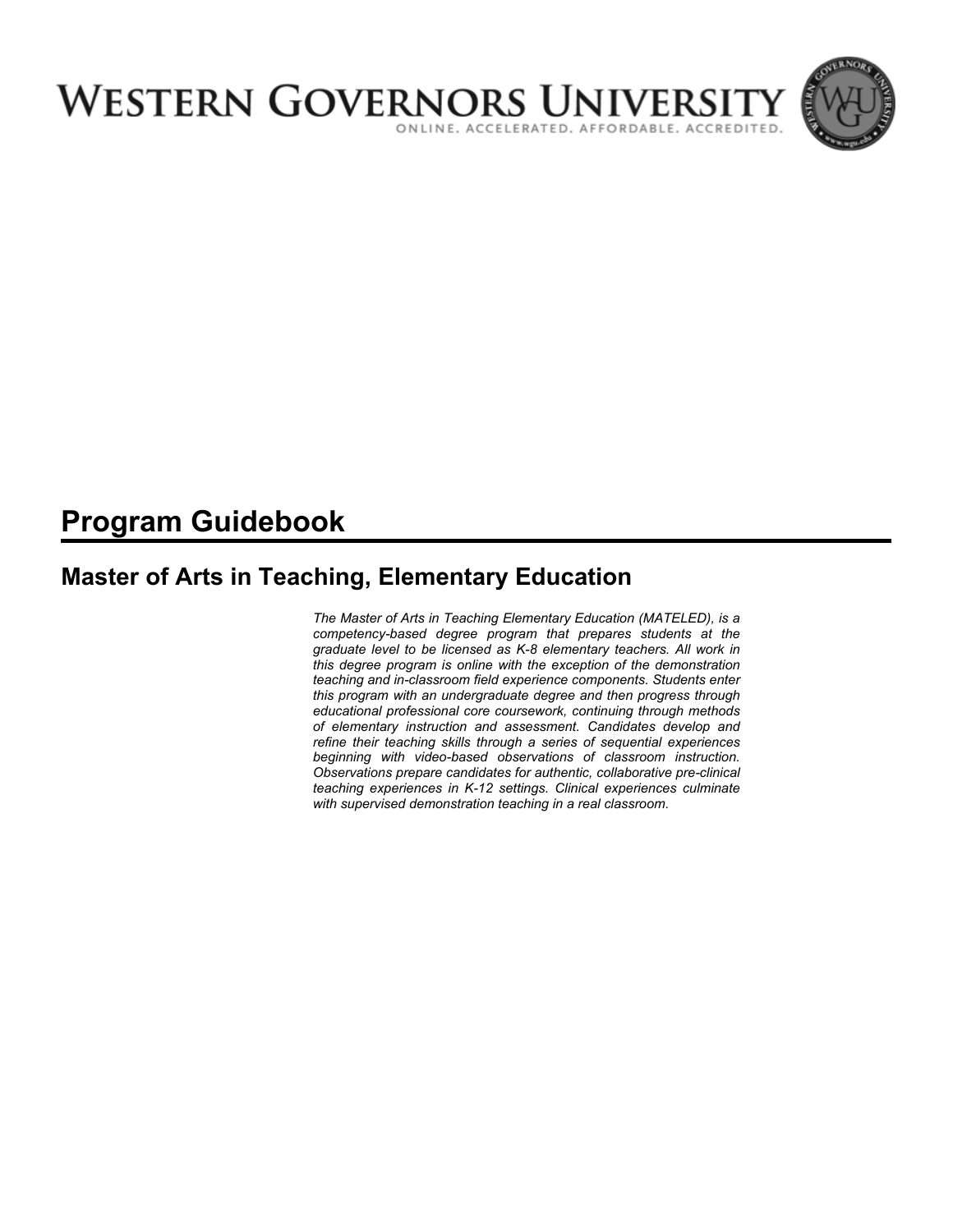

# **Program Guidebook**

# **Master of Arts in Teaching, Elementary Education**

*The Master of Arts in Teaching Elementary Education (MATELED), is a competency-based degree program that prepares students at the graduate level to be licensed as K-8 elementary teachers. All work in this degree program is online with the exception of the demonstration teaching and in-classroom field experience components. Students enter this program with an undergraduate degree and then progress through educational professional core coursework, continuing through methods of elementary instruction and assessment. Candidates develop and refine their teaching skills through a series of sequential experiences beginning with video-based observations of classroom instruction. Observations prepare candidates for authentic, collaborative pre-clinical teaching experiences in K-12 settings. Clinical experiences culminate with supervised demonstration teaching in a real classroom.*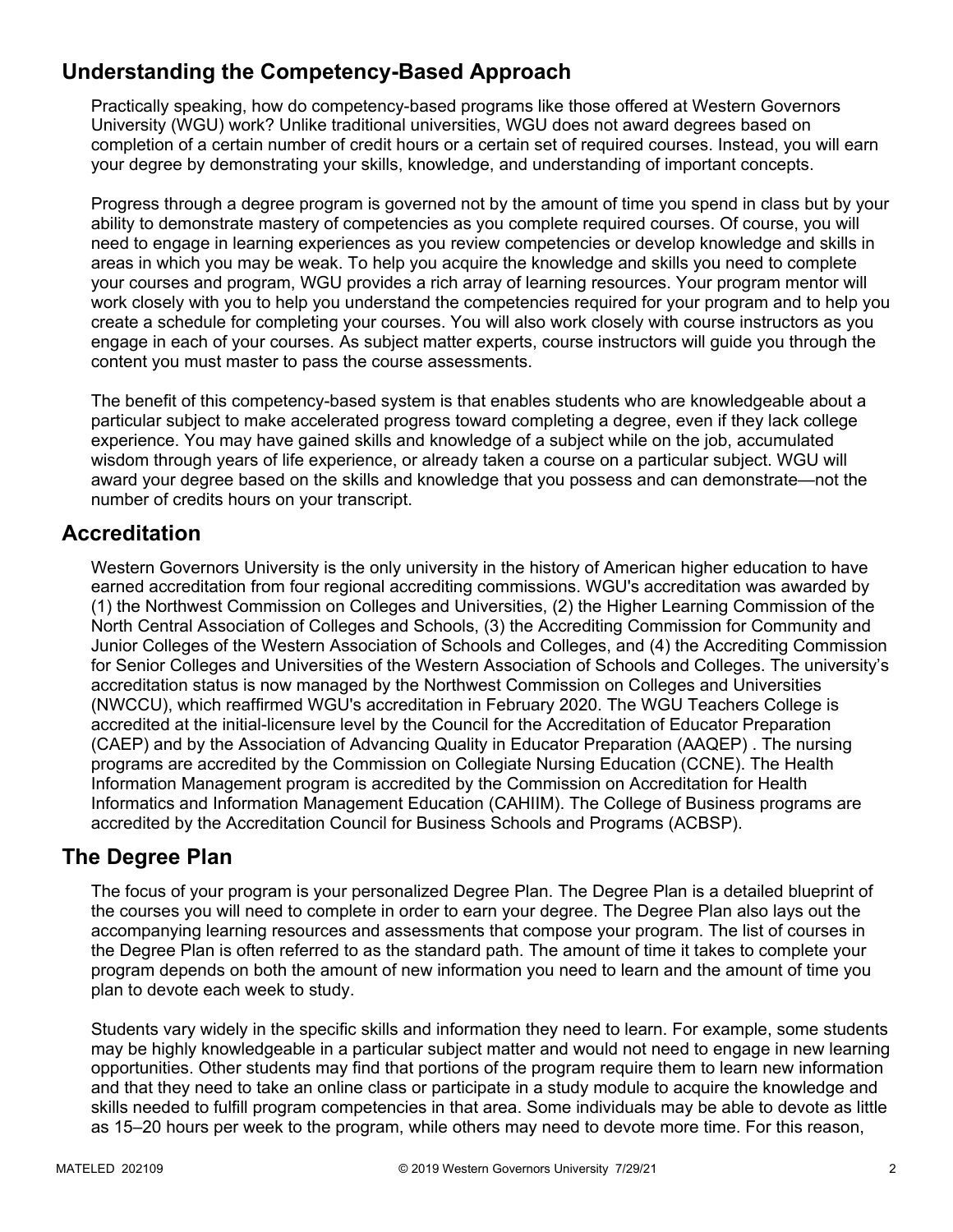# **Understanding the Competency-Based Approach**

Practically speaking, how do competency-based programs like those offered at Western Governors University (WGU) work? Unlike traditional universities, WGU does not award degrees based on completion of a certain number of credit hours or a certain set of required courses. Instead, you will earn your degree by demonstrating your skills, knowledge, and understanding of important concepts.

Progress through a degree program is governed not by the amount of time you spend in class but by your ability to demonstrate mastery of competencies as you complete required courses. Of course, you will need to engage in learning experiences as you review competencies or develop knowledge and skills in areas in which you may be weak. To help you acquire the knowledge and skills you need to complete your courses and program, WGU provides a rich array of learning resources. Your program mentor will work closely with you to help you understand the competencies required for your program and to help you create a schedule for completing your courses. You will also work closely with course instructors as you engage in each of your courses. As subject matter experts, course instructors will guide you through the content you must master to pass the course assessments.

The benefit of this competency-based system is that enables students who are knowledgeable about a particular subject to make accelerated progress toward completing a degree, even if they lack college experience. You may have gained skills and knowledge of a subject while on the job, accumulated wisdom through years of life experience, or already taken a course on a particular subject. WGU will award your degree based on the skills and knowledge that you possess and can demonstrate—not the number of credits hours on your transcript.

# **Accreditation**

Western Governors University is the only university in the history of American higher education to have earned accreditation from four regional accrediting commissions. WGU's accreditation was awarded by (1) the Northwest Commission on Colleges and Universities, (2) the Higher Learning Commission of the North Central Association of Colleges and Schools, (3) the Accrediting Commission for Community and Junior Colleges of the Western Association of Schools and Colleges, and (4) the Accrediting Commission for Senior Colleges and Universities of the Western Association of Schools and Colleges. The university's accreditation status is now managed by the Northwest Commission on Colleges and Universities (NWCCU), which reaffirmed WGU's accreditation in February 2020. The WGU Teachers College is accredited at the initial-licensure level by the Council for the Accreditation of Educator Preparation (CAEP) and by the Association of Advancing Quality in Educator Preparation (AAQEP) . The nursing programs are accredited by the Commission on Collegiate Nursing Education (CCNE). The Health Information Management program is accredited by the Commission on Accreditation for Health Informatics and Information Management Education (CAHIIM). The College of Business programs are accredited by the Accreditation Council for Business Schools and Programs (ACBSP).

## **The Degree Plan**

The focus of your program is your personalized Degree Plan. The Degree Plan is a detailed blueprint of the courses you will need to complete in order to earn your degree. The Degree Plan also lays out the accompanying learning resources and assessments that compose your program. The list of courses in the Degree Plan is often referred to as the standard path. The amount of time it takes to complete your program depends on both the amount of new information you need to learn and the amount of time you plan to devote each week to study.

Students vary widely in the specific skills and information they need to learn. For example, some students may be highly knowledgeable in a particular subject matter and would not need to engage in new learning opportunities. Other students may find that portions of the program require them to learn new information and that they need to take an online class or participate in a study module to acquire the knowledge and skills needed to fulfill program competencies in that area. Some individuals may be able to devote as little as 15–20 hours per week to the program, while others may need to devote more time. For this reason,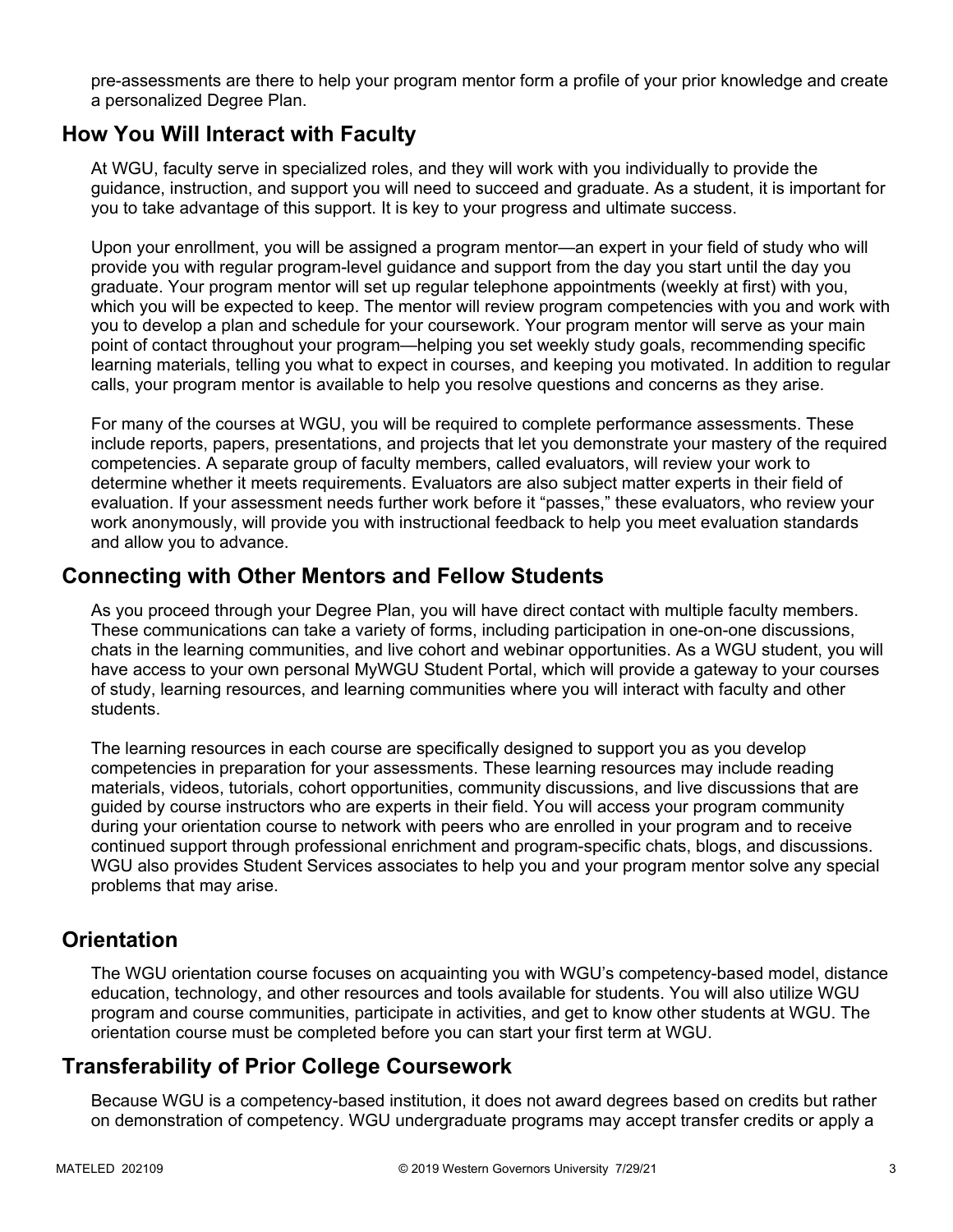pre-assessments are there to help your program mentor form a profile of your prior knowledge and create a personalized Degree Plan.

### **How You Will Interact with Faculty**

At WGU, faculty serve in specialized roles, and they will work with you individually to provide the guidance, instruction, and support you will need to succeed and graduate. As a student, it is important for you to take advantage of this support. It is key to your progress and ultimate success.

Upon your enrollment, you will be assigned a program mentor—an expert in your field of study who will provide you with regular program-level guidance and support from the day you start until the day you graduate. Your program mentor will set up regular telephone appointments (weekly at first) with you, which you will be expected to keep. The mentor will review program competencies with you and work with you to develop a plan and schedule for your coursework. Your program mentor will serve as your main point of contact throughout your program—helping you set weekly study goals, recommending specific learning materials, telling you what to expect in courses, and keeping you motivated. In addition to regular calls, your program mentor is available to help you resolve questions and concerns as they arise.

For many of the courses at WGU, you will be required to complete performance assessments. These include reports, papers, presentations, and projects that let you demonstrate your mastery of the required competencies. A separate group of faculty members, called evaluators, will review your work to determine whether it meets requirements. Evaluators are also subject matter experts in their field of evaluation. If your assessment needs further work before it "passes," these evaluators, who review your work anonymously, will provide you with instructional feedback to help you meet evaluation standards and allow you to advance.

### **Connecting with Other Mentors and Fellow Students**

As you proceed through your Degree Plan, you will have direct contact with multiple faculty members. These communications can take a variety of forms, including participation in one-on-one discussions, chats in the learning communities, and live cohort and webinar opportunities. As a WGU student, you will have access to your own personal MyWGU Student Portal, which will provide a gateway to your courses of study, learning resources, and learning communities where you will interact with faculty and other students.

The learning resources in each course are specifically designed to support you as you develop competencies in preparation for your assessments. These learning resources may include reading materials, videos, tutorials, cohort opportunities, community discussions, and live discussions that are guided by course instructors who are experts in their field. You will access your program community during your orientation course to network with peers who are enrolled in your program and to receive continued support through professional enrichment and program-specific chats, blogs, and discussions. WGU also provides Student Services associates to help you and your program mentor solve any special problems that may arise.

## **Orientation**

The WGU orientation course focuses on acquainting you with WGU's competency-based model, distance education, technology, and other resources and tools available for students. You will also utilize WGU program and course communities, participate in activities, and get to know other students at WGU. The orientation course must be completed before you can start your first term at WGU.

# **Transferability of Prior College Coursework**

Because WGU is a competency-based institution, it does not award degrees based on credits but rather on demonstration of competency. WGU undergraduate programs may accept transfer credits or apply a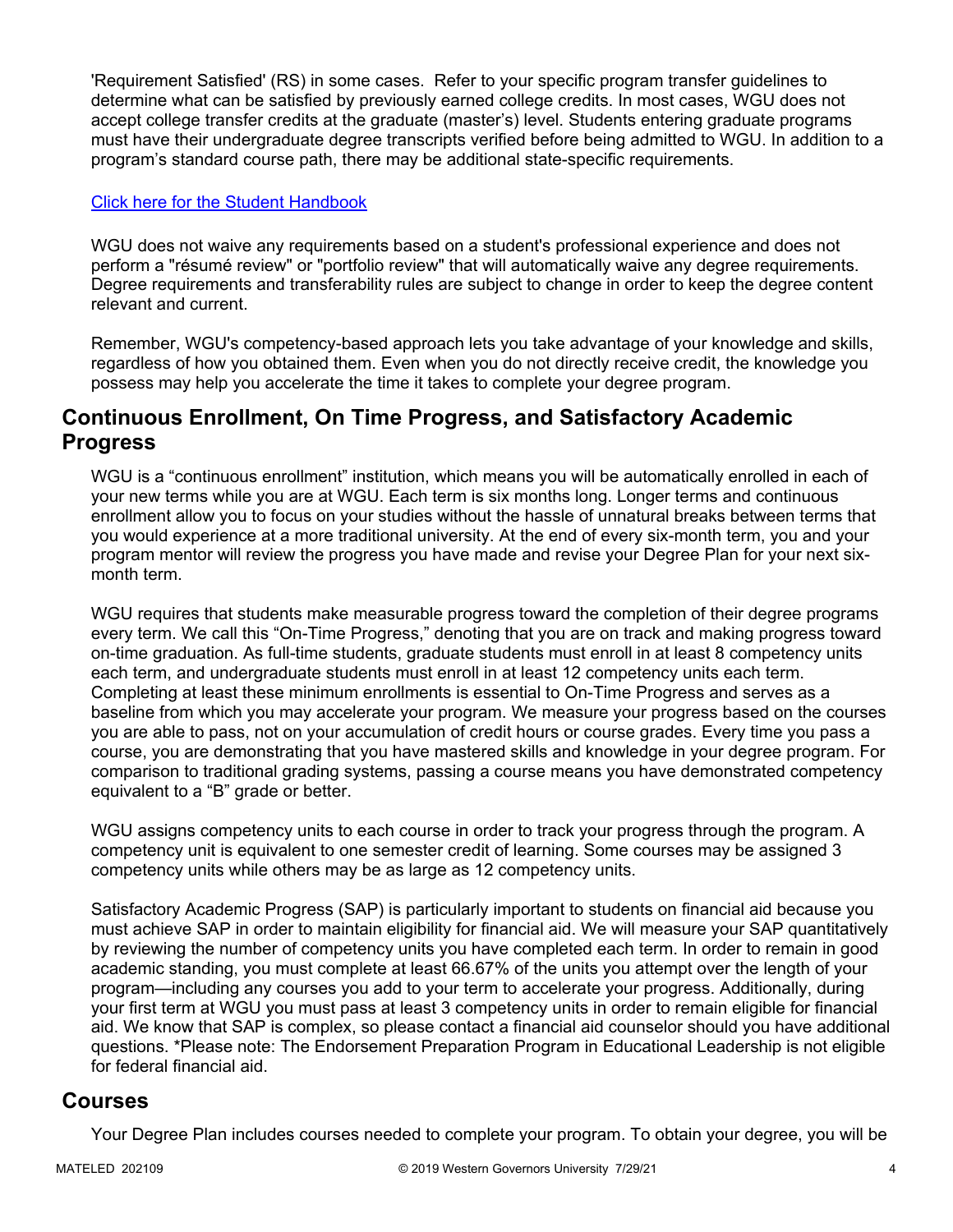'Requirement Satisfied' (RS) in some cases. Refer to your specific program transfer guidelines to determine what can be satisfied by previously earned college credits. In most cases, WGU does not accept college transfer credits at the graduate (master's) level. Students entering graduate programs must have their undergraduate degree transcripts verified before being admitted to WGU. In addition to a program's standard course path, there may be additional state-specific requirements.

#### [Click here for the Student Handbook](http://cm.wgu.edu/)

WGU does not waive any requirements based on a student's professional experience and does not perform a "résumé review" or "portfolio review" that will automatically waive any degree requirements. Degree requirements and transferability rules are subject to change in order to keep the degree content relevant and current.

Remember, WGU's competency-based approach lets you take advantage of your knowledge and skills, regardless of how you obtained them. Even when you do not directly receive credit, the knowledge you possess may help you accelerate the time it takes to complete your degree program.

### **Continuous Enrollment, On Time Progress, and Satisfactory Academic Progress**

WGU is a "continuous enrollment" institution, which means you will be automatically enrolled in each of your new terms while you are at WGU. Each term is six months long. Longer terms and continuous enrollment allow you to focus on your studies without the hassle of unnatural breaks between terms that you would experience at a more traditional university. At the end of every six-month term, you and your program mentor will review the progress you have made and revise your Degree Plan for your next sixmonth term.

WGU requires that students make measurable progress toward the completion of their degree programs every term. We call this "On-Time Progress," denoting that you are on track and making progress toward on-time graduation. As full-time students, graduate students must enroll in at least 8 competency units each term, and undergraduate students must enroll in at least 12 competency units each term. Completing at least these minimum enrollments is essential to On-Time Progress and serves as a baseline from which you may accelerate your program. We measure your progress based on the courses you are able to pass, not on your accumulation of credit hours or course grades. Every time you pass a course, you are demonstrating that you have mastered skills and knowledge in your degree program. For comparison to traditional grading systems, passing a course means you have demonstrated competency equivalent to a "B" grade or better.

WGU assigns competency units to each course in order to track your progress through the program. A competency unit is equivalent to one semester credit of learning. Some courses may be assigned 3 competency units while others may be as large as 12 competency units.

Satisfactory Academic Progress (SAP) is particularly important to students on financial aid because you must achieve SAP in order to maintain eligibility for financial aid. We will measure your SAP quantitatively by reviewing the number of competency units you have completed each term. In order to remain in good academic standing, you must complete at least 66.67% of the units you attempt over the length of your program—including any courses you add to your term to accelerate your progress. Additionally, during your first term at WGU you must pass at least 3 competency units in order to remain eligible for financial aid. We know that SAP is complex, so please contact a financial aid counselor should you have additional questions. \*Please note: The Endorsement Preparation Program in Educational Leadership is not eligible for federal financial aid.

### **Courses**

Your Degree Plan includes courses needed to complete your program. To obtain your degree, you will be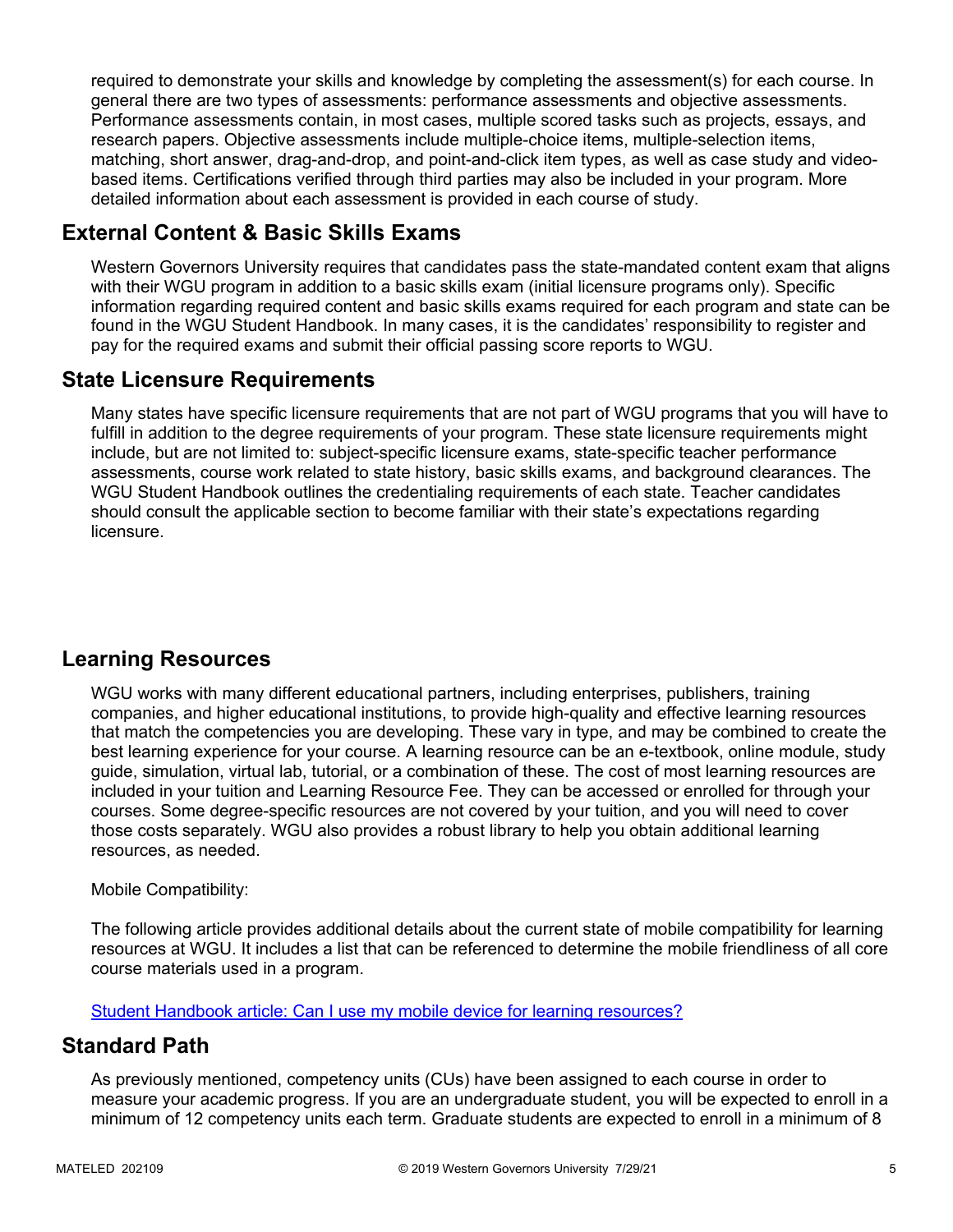required to demonstrate your skills and knowledge by completing the assessment(s) for each course. In general there are two types of assessments: performance assessments and objective assessments. Performance assessments contain, in most cases, multiple scored tasks such as projects, essays, and research papers. Objective assessments include multiple-choice items, multiple-selection items, matching, short answer, drag-and-drop, and point-and-click item types, as well as case study and videobased items. Certifications verified through third parties may also be included in your program. More detailed information about each assessment is provided in each course of study.

# **External Content & Basic Skills Exams**

Western Governors University requires that candidates pass the state-mandated content exam that aligns with their WGU program in addition to a basic skills exam (initial licensure programs only). Specific information regarding required content and basic skills exams required for each program and state can be found in the WGU Student Handbook. In many cases, it is the candidates' responsibility to register and pay for the required exams and submit their official passing score reports to WGU.

# **State Licensure Requirements**

Many states have specific licensure requirements that are not part of WGU programs that you will have to fulfill in addition to the degree requirements of your program. These state licensure requirements might include, but are not limited to: subject-specific licensure exams, state-specific teacher performance assessments, course work related to state history, basic skills exams, and background clearances. The WGU Student Handbook outlines the credentialing requirements of each state. Teacher candidates should consult the applicable section to become familiar with their state's expectations regarding licensure.

# **Learning Resources**

WGU works with many different educational partners, including enterprises, publishers, training companies, and higher educational institutions, to provide high-quality and effective learning resources that match the competencies you are developing. These vary in type, and may be combined to create the best learning experience for your course. A learning resource can be an e-textbook, online module, study guide, simulation, virtual lab, tutorial, or a combination of these. The cost of most learning resources are included in your tuition and Learning Resource Fee. They can be accessed or enrolled for through your courses. Some degree-specific resources are not covered by your tuition, and you will need to cover those costs separately. WGU also provides a robust library to help you obtain additional learning resources, as needed.

#### Mobile Compatibility:

The following article provides additional details about the current state of mobile compatibility for learning resources at WGU. It includes a list that can be referenced to determine the mobile friendliness of all core course materials used in a program.

[Student Handbook article: Can I use my mobile device for learning resources?](https://cm.wgu.edu/t5/Frequently-Asked-Questions/Can-I-use-my-mobile-device-for-learning-resources/ta-p/396)

## **Standard Path**

As previously mentioned, competency units (CUs) have been assigned to each course in order to measure your academic progress. If you are an undergraduate student, you will be expected to enroll in a minimum of 12 competency units each term. Graduate students are expected to enroll in a minimum of 8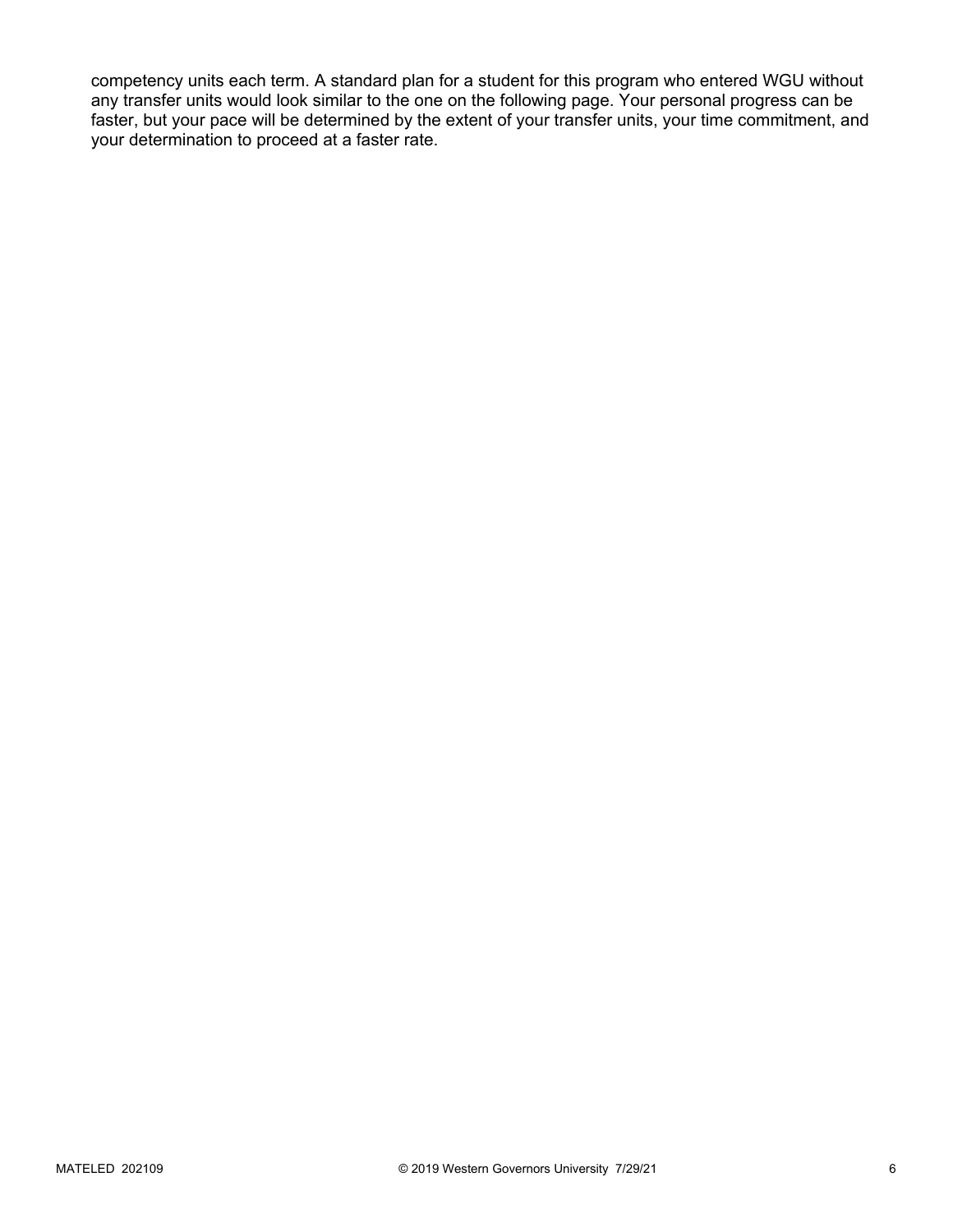competency units each term. A standard plan for a student for this program who entered WGU without any transfer units would look similar to the one on the following page. Your personal progress can be faster, but your pace will be determined by the extent of your transfer units, your time commitment, and your determination to proceed at a faster rate.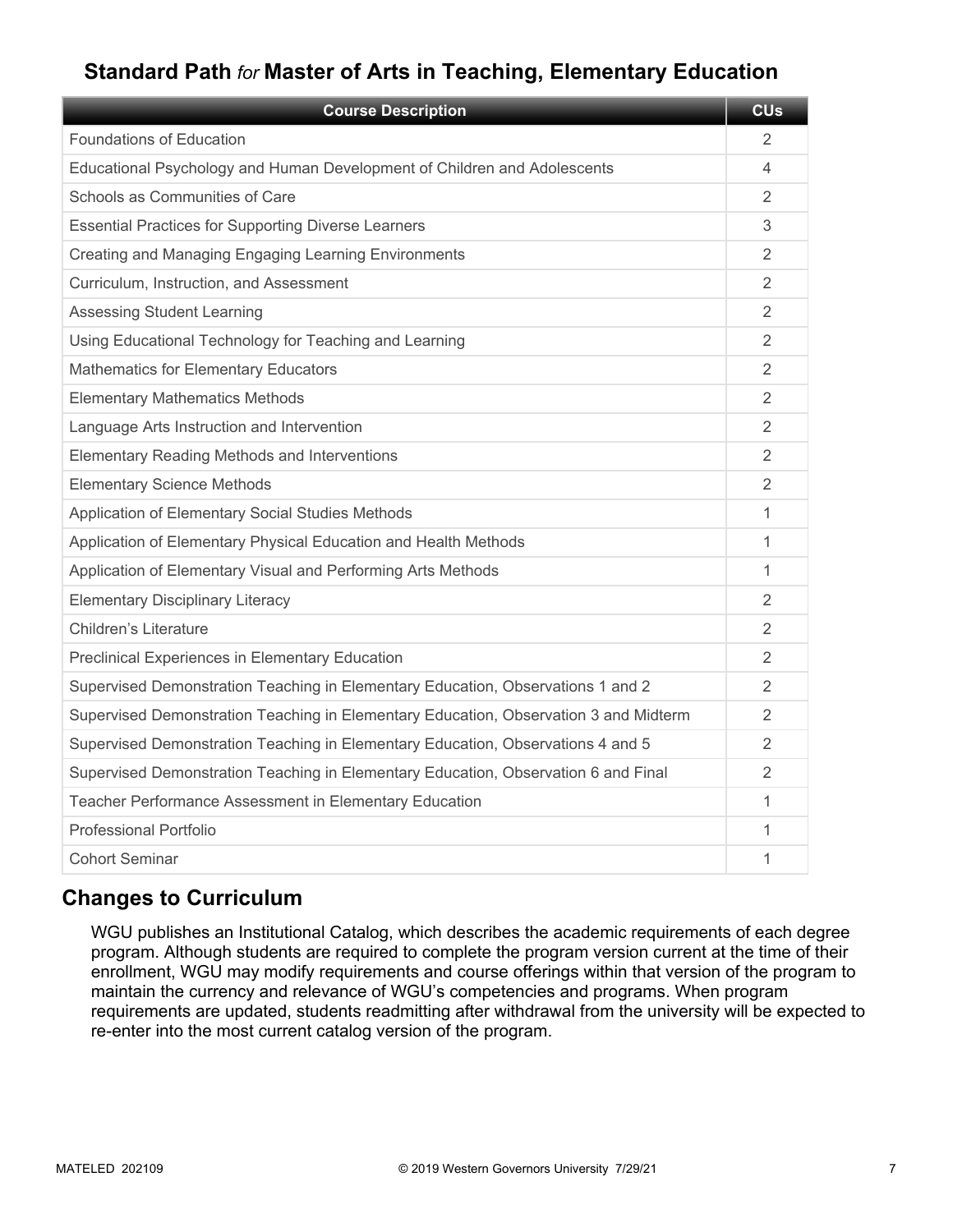# **Standard Path** *for* **Master of Arts in Teaching, Elementary Education**

| <b>Course Description</b>                                                            | <b>CU<sub>s</sub></b> |
|--------------------------------------------------------------------------------------|-----------------------|
| Foundations of Education                                                             | 2                     |
| Educational Psychology and Human Development of Children and Adolescents             | 4                     |
| Schools as Communities of Care                                                       | 2                     |
| <b>Essential Practices for Supporting Diverse Learners</b>                           | 3                     |
| Creating and Managing Engaging Learning Environments                                 | 2                     |
| Curriculum, Instruction, and Assessment                                              | $\overline{2}$        |
| <b>Assessing Student Learning</b>                                                    | $\mathfrak{D}$        |
| Using Educational Technology for Teaching and Learning                               | 2                     |
| <b>Mathematics for Elementary Educators</b>                                          | 2                     |
| <b>Elementary Mathematics Methods</b>                                                | 2                     |
| Language Arts Instruction and Intervention                                           | 2                     |
| Elementary Reading Methods and Interventions                                         | 2                     |
| <b>Elementary Science Methods</b>                                                    | 2                     |
| Application of Elementary Social Studies Methods                                     | 1                     |
| Application of Elementary Physical Education and Health Methods                      | 1                     |
| Application of Elementary Visual and Performing Arts Methods                         | 1                     |
| <b>Elementary Disciplinary Literacy</b>                                              | 2                     |
| <b>Children's Literature</b>                                                         | 2                     |
| Preclinical Experiences in Elementary Education                                      | 2                     |
| Supervised Demonstration Teaching in Elementary Education, Observations 1 and 2      | 2                     |
| Supervised Demonstration Teaching in Elementary Education, Observation 3 and Midterm | 2                     |
| Supervised Demonstration Teaching in Elementary Education, Observations 4 and 5      | 2                     |
| Supervised Demonstration Teaching in Elementary Education, Observation 6 and Final   | 2                     |
| Teacher Performance Assessment in Elementary Education                               | 1                     |
| Professional Portfolio                                                               | 1                     |
| <b>Cohort Seminar</b>                                                                | 1                     |

# **Changes to Curriculum**

WGU publishes an Institutional Catalog, which describes the academic requirements of each degree program. Although students are required to complete the program version current at the time of their enrollment, WGU may modify requirements and course offerings within that version of the program to maintain the currency and relevance of WGU's competencies and programs. When program requirements are updated, students readmitting after withdrawal from the university will be expected to re-enter into the most current catalog version of the program.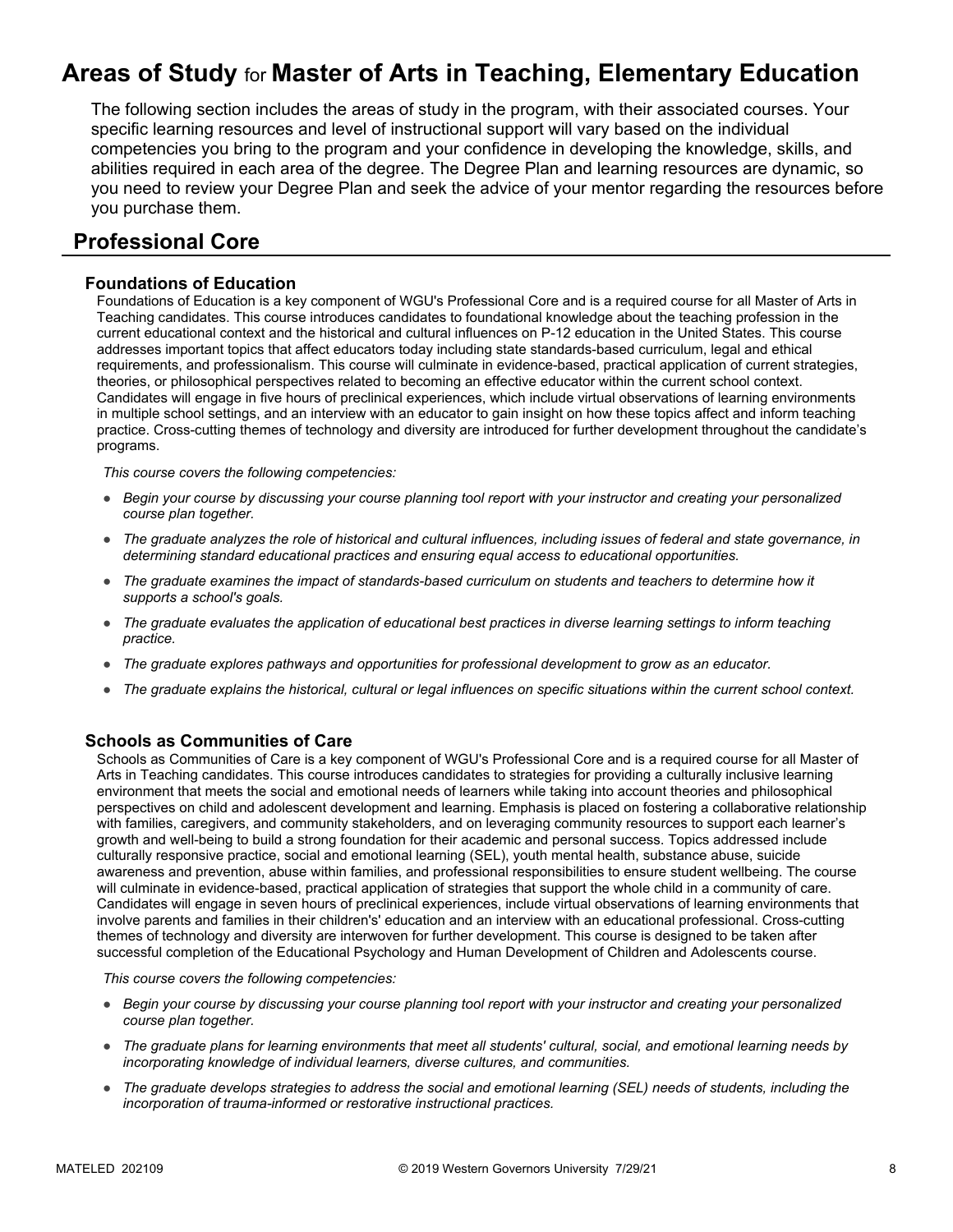# **Areas of Study** for **Master of Arts in Teaching, Elementary Education**

The following section includes the areas of study in the program, with their associated courses. Your specific learning resources and level of instructional support will vary based on the individual competencies you bring to the program and your confidence in developing the knowledge, skills, and abilities required in each area of the degree. The Degree Plan and learning resources are dynamic, so you need to review your Degree Plan and seek the advice of your mentor regarding the resources before you purchase them.

### **Professional Core**

#### **Foundations of Education**

Foundations of Education is a key component of WGU's Professional Core and is a required course for all Master of Arts in Teaching candidates. This course introduces candidates to foundational knowledge about the teaching profession in the current educational context and the historical and cultural influences on P-12 education in the United States. This course addresses important topics that affect educators today including state standards-based curriculum, legal and ethical requirements, and professionalism. This course will culminate in evidence-based, practical application of current strategies, theories, or philosophical perspectives related to becoming an effective educator within the current school context. Candidates will engage in five hours of preclinical experiences, which include virtual observations of learning environments in multiple school settings, and an interview with an educator to gain insight on how these topics affect and inform teaching practice. Cross-cutting themes of technology and diversity are introduced for further development throughout the candidate's programs.

*This course covers the following competencies:*

- *Begin your course by discussing your course planning tool report with your instructor and creating your personalized course plan together.*
- *The graduate analyzes the role of historical and cultural influences, including issues of federal and state governance, in determining standard educational practices and ensuring equal access to educational opportunities.*
- *The graduate examines the impact of standards-based curriculum on students and teachers to determine how it supports a school's goals.*
- *The graduate evaluates the application of educational best practices in diverse learning settings to inform teaching practice.*
- *The graduate explores pathways and opportunities for professional development to grow as an educator.*
- *The graduate explains the historical, cultural or legal influences on specific situations within the current school context.*

#### **Schools as Communities of Care**

Schools as Communities of Care is a key component of WGU's Professional Core and is a required course for all Master of Arts in Teaching candidates. This course introduces candidates to strategies for providing a culturally inclusive learning environment that meets the social and emotional needs of learners while taking into account theories and philosophical perspectives on child and adolescent development and learning. Emphasis is placed on fostering a collaborative relationship with families, caregivers, and community stakeholders, and on leveraging community resources to support each learner's growth and well-being to build a strong foundation for their academic and personal success. Topics addressed include culturally responsive practice, social and emotional learning (SEL), youth mental health, substance abuse, suicide awareness and prevention, abuse within families, and professional responsibilities to ensure student wellbeing. The course will culminate in evidence-based, practical application of strategies that support the whole child in a community of care. Candidates will engage in seven hours of preclinical experiences, include virtual observations of learning environments that involve parents and families in their children's' education and an interview with an educational professional. Cross-cutting themes of technology and diversity are interwoven for further development. This course is designed to be taken after successful completion of the Educational Psychology and Human Development of Children and Adolescents course.

- *Begin your course by discussing your course planning tool report with your instructor and creating your personalized course plan together.*
- *The graduate plans for learning environments that meet all students' cultural, social, and emotional learning needs by incorporating knowledge of individual learners, diverse cultures, and communities.*
- The graduate develops strategies to address the social and emotional learning (SEL) needs of students, including the *incorporation of trauma-informed or restorative instructional practices.*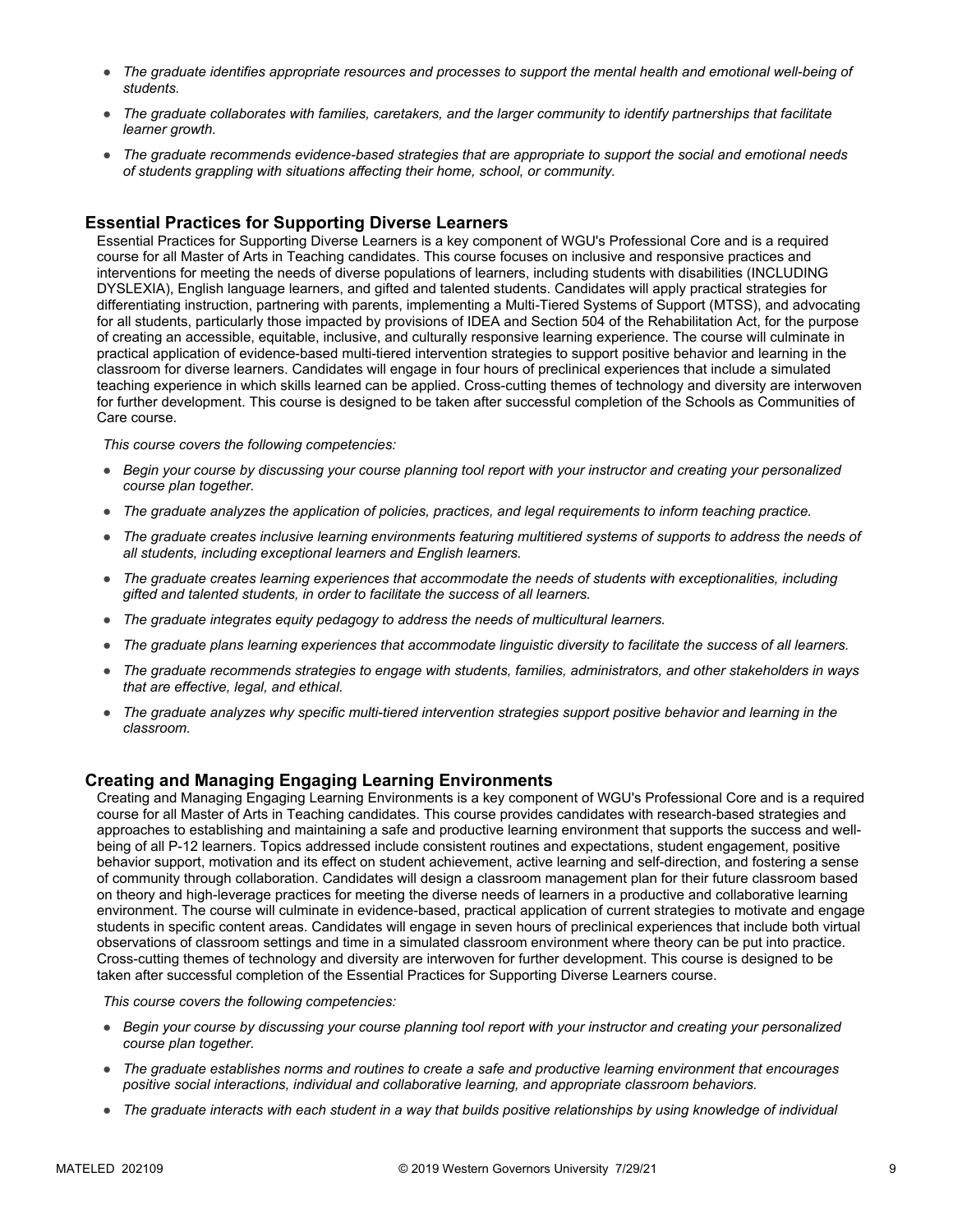- *The graduate identifies appropriate resources and processes to support the mental health and emotional well-being of students.*
- *The graduate collaborates with families, caretakers, and the larger community to identify partnerships that facilitate learner growth.*
- *The graduate recommends evidence-based strategies that are appropriate to support the social and emotional needs of students grappling with situations affecting their home, school, or community.*

#### **Essential Practices for Supporting Diverse Learners**

Essential Practices for Supporting Diverse Learners is a key component of WGU's Professional Core and is a required course for all Master of Arts in Teaching candidates. This course focuses on inclusive and responsive practices and interventions for meeting the needs of diverse populations of learners, including students with disabilities (INCLUDING DYSLEXIA), English language learners, and gifted and talented students. Candidates will apply practical strategies for differentiating instruction, partnering with parents, implementing a Multi-Tiered Systems of Support (MTSS), and advocating for all students, particularly those impacted by provisions of IDEA and Section 504 of the Rehabilitation Act, for the purpose of creating an accessible, equitable, inclusive, and culturally responsive learning experience. The course will culminate in practical application of evidence-based multi-tiered intervention strategies to support positive behavior and learning in the classroom for diverse learners. Candidates will engage in four hours of preclinical experiences that include a simulated teaching experience in which skills learned can be applied. Cross-cutting themes of technology and diversity are interwoven for further development. This course is designed to be taken after successful completion of the Schools as Communities of Care course.

*This course covers the following competencies:*

- *Begin your course by discussing your course planning tool report with your instructor and creating your personalized course plan together.*
- *The graduate analyzes the application of policies, practices, and legal requirements to inform teaching practice.*
- *The graduate creates inclusive learning environments featuring multitiered systems of supports to address the needs of all students, including exceptional learners and English learners.*
- *The graduate creates learning experiences that accommodate the needs of students with exceptionalities, including gifted and talented students, in order to facilitate the success of all learners.*
- *The graduate integrates equity pedagogy to address the needs of multicultural learners.*
- *The graduate plans learning experiences that accommodate linguistic diversity to facilitate the success of all learners.*
- *The graduate recommends strategies to engage with students, families, administrators, and other stakeholders in ways that are effective, legal, and ethical.*
- *The graduate analyzes why specific multi-tiered intervention strategies support positive behavior and learning in the classroom.*

#### **Creating and Managing Engaging Learning Environments**

Creating and Managing Engaging Learning Environments is a key component of WGU's Professional Core and is a required course for all Master of Arts in Teaching candidates. This course provides candidates with research-based strategies and approaches to establishing and maintaining a safe and productive learning environment that supports the success and wellbeing of all P-12 learners. Topics addressed include consistent routines and expectations, student engagement, positive behavior support, motivation and its effect on student achievement, active learning and self-direction, and fostering a sense of community through collaboration. Candidates will design a classroom management plan for their future classroom based on theory and high-leverage practices for meeting the diverse needs of learners in a productive and collaborative learning environment. The course will culminate in evidence-based, practical application of current strategies to motivate and engage students in specific content areas. Candidates will engage in seven hours of preclinical experiences that include both virtual observations of classroom settings and time in a simulated classroom environment where theory can be put into practice. Cross-cutting themes of technology and diversity are interwoven for further development. This course is designed to be taken after successful completion of the Essential Practices for Supporting Diverse Learners course.

- *Begin your course by discussing your course planning tool report with your instructor and creating your personalized course plan together.*
- *The graduate establishes norms and routines to create a safe and productive learning environment that encourages positive social interactions, individual and collaborative learning, and appropriate classroom behaviors.*
- *The graduate interacts with each student in a way that builds positive relationships by using knowledge of individual*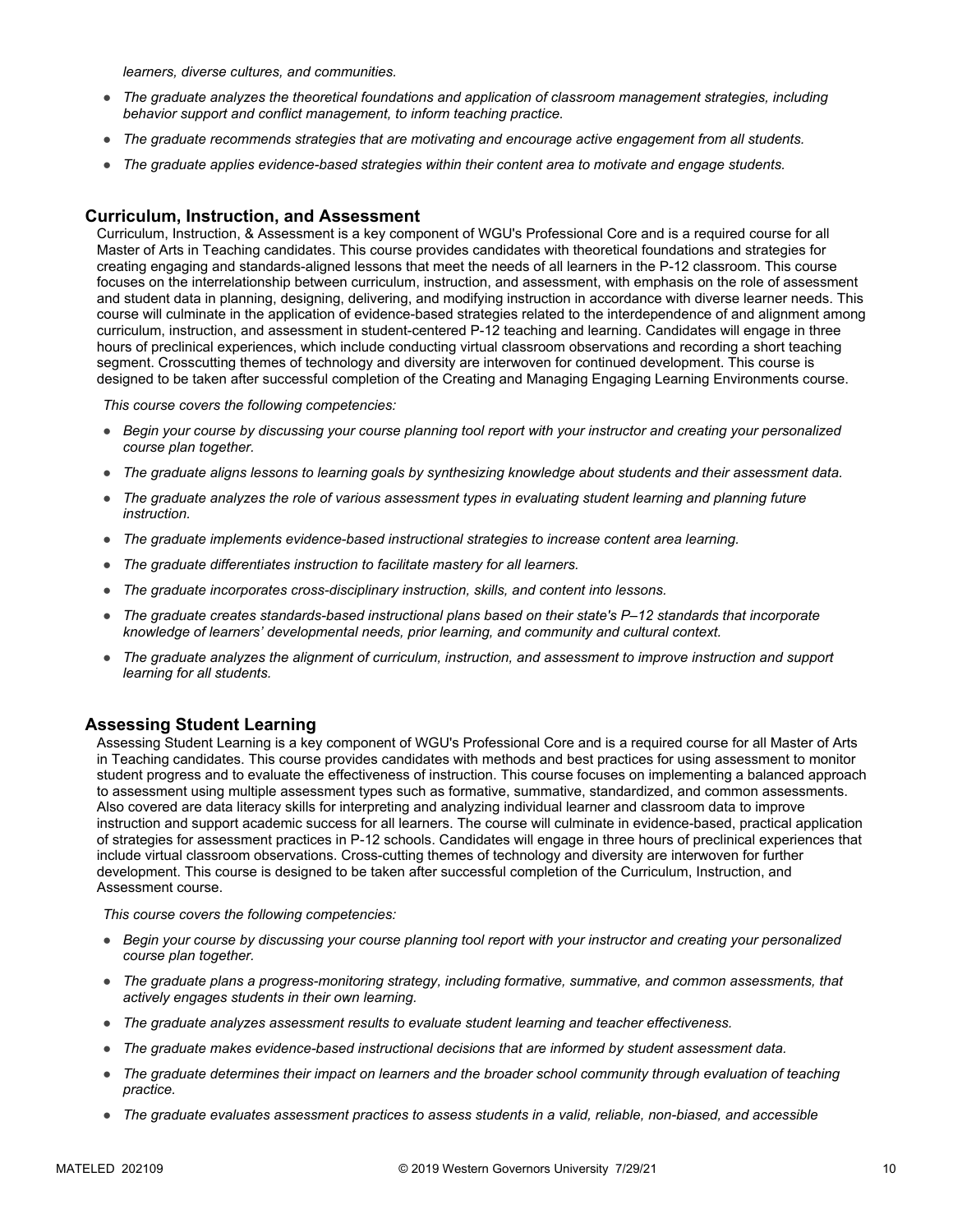*learners, diverse cultures, and communities.*

- *The graduate analyzes the theoretical foundations and application of classroom management strategies, including behavior support and conflict management, to inform teaching practice.*
- *The graduate recommends strategies that are motivating and encourage active engagement from all students.*
- *The graduate applies evidence-based strategies within their content area to motivate and engage students.*

#### **Curriculum, Instruction, and Assessment**

Curriculum, Instruction, & Assessment is a key component of WGU's Professional Core and is a required course for all Master of Arts in Teaching candidates. This course provides candidates with theoretical foundations and strategies for creating engaging and standards-aligned lessons that meet the needs of all learners in the P-12 classroom. This course focuses on the interrelationship between curriculum, instruction, and assessment, with emphasis on the role of assessment and student data in planning, designing, delivering, and modifying instruction in accordance with diverse learner needs. This course will culminate in the application of evidence-based strategies related to the interdependence of and alignment among curriculum, instruction, and assessment in student-centered P-12 teaching and learning. Candidates will engage in three hours of preclinical experiences, which include conducting virtual classroom observations and recording a short teaching segment. Crosscutting themes of technology and diversity are interwoven for continued development. This course is designed to be taken after successful completion of the Creating and Managing Engaging Learning Environments course.

*This course covers the following competencies:*

- *Begin your course by discussing your course planning tool report with your instructor and creating your personalized course plan together.*
- *The graduate aligns lessons to learning goals by synthesizing knowledge about students and their assessment data.*
- *The graduate analyzes the role of various assessment types in evaluating student learning and planning future instruction.*
- *The graduate implements evidence-based instructional strategies to increase content area learning.*
- *The graduate differentiates instruction to facilitate mastery for all learners.*
- *The graduate incorporates cross-disciplinary instruction, skills, and content into lessons.*
- *The graduate creates standards-based instructional plans based on their state's P–12 standards that incorporate knowledge of learners' developmental needs, prior learning, and community and cultural context.*
- *The graduate analyzes the alignment of curriculum, instruction, and assessment to improve instruction and support learning for all students.*

#### **Assessing Student Learning**

Assessing Student Learning is a key component of WGU's Professional Core and is a required course for all Master of Arts in Teaching candidates. This course provides candidates with methods and best practices for using assessment to monitor student progress and to evaluate the effectiveness of instruction. This course focuses on implementing a balanced approach to assessment using multiple assessment types such as formative, summative, standardized, and common assessments. Also covered are data literacy skills for interpreting and analyzing individual learner and classroom data to improve instruction and support academic success for all learners. The course will culminate in evidence-based, practical application of strategies for assessment practices in P-12 schools. Candidates will engage in three hours of preclinical experiences that include virtual classroom observations. Cross-cutting themes of technology and diversity are interwoven for further development. This course is designed to be taken after successful completion of the Curriculum, Instruction, and Assessment course.

- *Begin your course by discussing your course planning tool report with your instructor and creating your personalized course plan together.*
- *The graduate plans a progress-monitoring strategy, including formative, summative, and common assessments, that actively engages students in their own learning.*
- *The graduate analyzes assessment results to evaluate student learning and teacher effectiveness.*
- *The graduate makes evidence-based instructional decisions that are informed by student assessment data.*
- *The graduate determines their impact on learners and the broader school community through evaluation of teaching practice.*
- *The graduate evaluates assessment practices to assess students in a valid, reliable, non-biased, and accessible*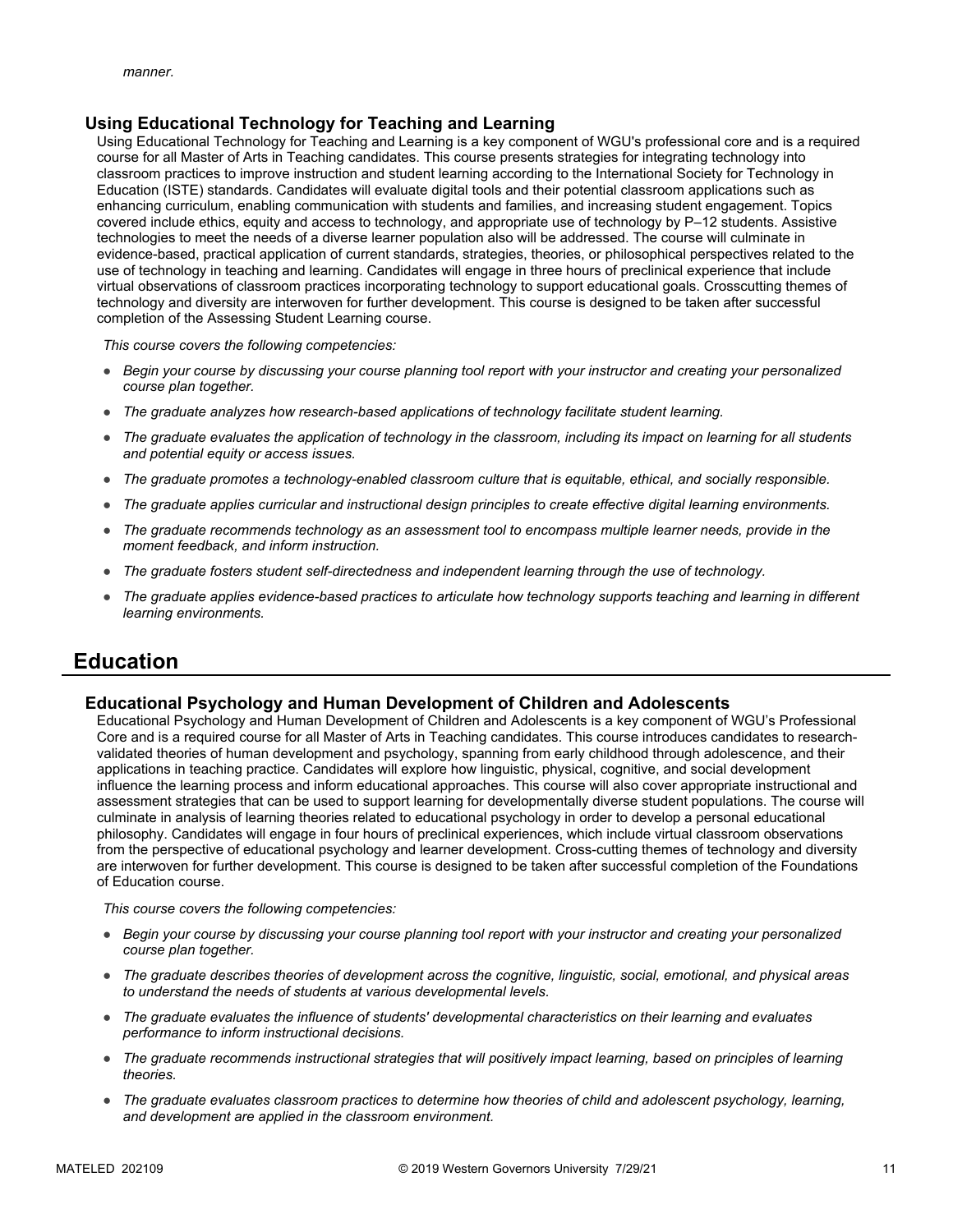#### **Using Educational Technology for Teaching and Learning**

Using Educational Technology for Teaching and Learning is a key component of WGU's professional core and is a required course for all Master of Arts in Teaching candidates. This course presents strategies for integrating technology into classroom practices to improve instruction and student learning according to the International Society for Technology in Education (ISTE) standards. Candidates will evaluate digital tools and their potential classroom applications such as enhancing curriculum, enabling communication with students and families, and increasing student engagement. Topics covered include ethics, equity and access to technology, and appropriate use of technology by P–12 students. Assistive technologies to meet the needs of a diverse learner population also will be addressed. The course will culminate in evidence-based, practical application of current standards, strategies, theories, or philosophical perspectives related to the use of technology in teaching and learning. Candidates will engage in three hours of preclinical experience that include virtual observations of classroom practices incorporating technology to support educational goals. Crosscutting themes of technology and diversity are interwoven for further development. This course is designed to be taken after successful completion of the Assessing Student Learning course.

*This course covers the following competencies:*

- *Begin your course by discussing your course planning tool report with your instructor and creating your personalized course plan together.*
- *The graduate analyzes how research-based applications of technology facilitate student learning.*
- *The graduate evaluates the application of technology in the classroom, including its impact on learning for all students and potential equity or access issues.*
- *The graduate promotes a technology-enabled classroom culture that is equitable, ethical, and socially responsible.*
- *The graduate applies curricular and instructional design principles to create effective digital learning environments.*
- *The graduate recommends technology as an assessment tool to encompass multiple learner needs, provide in the moment feedback, and inform instruction.*
- *The graduate fosters student self-directedness and independent learning through the use of technology.*
- *The graduate applies evidence-based practices to articulate how technology supports teaching and learning in different learning environments.*

### **Education**

#### **Educational Psychology and Human Development of Children and Adolescents**

Educational Psychology and Human Development of Children and Adolescents is a key component of WGU's Professional Core and is a required course for all Master of Arts in Teaching candidates. This course introduces candidates to researchvalidated theories of human development and psychology, spanning from early childhood through adolescence, and their applications in teaching practice. Candidates will explore how linguistic, physical, cognitive, and social development influence the learning process and inform educational approaches. This course will also cover appropriate instructional and assessment strategies that can be used to support learning for developmentally diverse student populations. The course will culminate in analysis of learning theories related to educational psychology in order to develop a personal educational philosophy. Candidates will engage in four hours of preclinical experiences, which include virtual classroom observations from the perspective of educational psychology and learner development. Cross-cutting themes of technology and diversity are interwoven for further development. This course is designed to be taken after successful completion of the Foundations of Education course.

- *Begin your course by discussing your course planning tool report with your instructor and creating your personalized course plan together.*
- *The graduate describes theories of development across the cognitive, linguistic, social, emotional, and physical areas to understand the needs of students at various developmental levels.*
- *The graduate evaluates the influence of students' developmental characteristics on their learning and evaluates performance to inform instructional decisions.*
- *The graduate recommends instructional strategies that will positively impact learning, based on principles of learning theories.*
- *The graduate evaluates classroom practices to determine how theories of child and adolescent psychology, learning, and development are applied in the classroom environment.*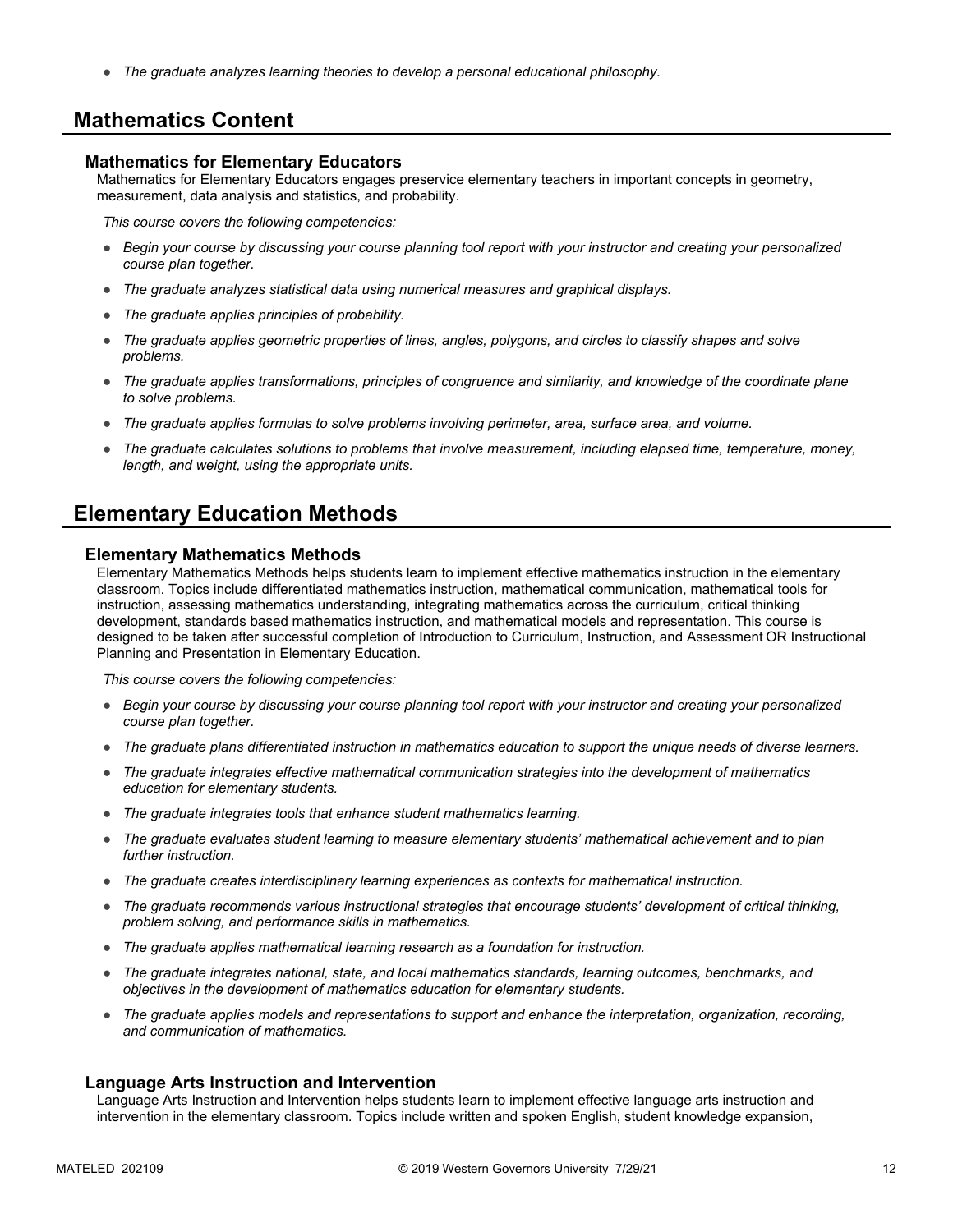● *The graduate analyzes learning theories to develop a personal educational philosophy.*

### **Mathematics Content**

#### **Mathematics for Elementary Educators**

Mathematics for Elementary Educators engages preservice elementary teachers in important concepts in geometry, measurement, data analysis and statistics, and probability.

*This course covers the following competencies:*

- *Begin your course by discussing your course planning tool report with your instructor and creating your personalized course plan together.*
- *The graduate analyzes statistical data using numerical measures and graphical displays.*
- *The graduate applies principles of probability.*
- *The graduate applies geometric properties of lines, angles, polygons, and circles to classify shapes and solve problems.*
- *The graduate applies transformations, principles of congruence and similarity, and knowledge of the coordinate plane to solve problems.*
- *The graduate applies formulas to solve problems involving perimeter, area, surface area, and volume.*
- *The graduate calculates solutions to problems that involve measurement, including elapsed time, temperature, money, length, and weight, using the appropriate units.*

### **Elementary Education Methods**

#### **Elementary Mathematics Methods**

Elementary Mathematics Methods helps students learn to implement effective mathematics instruction in the elementary classroom. Topics include differentiated mathematics instruction, mathematical communication, mathematical tools for instruction, assessing mathematics understanding, integrating mathematics across the curriculum, critical thinking development, standards based mathematics instruction, and mathematical models and representation. This course is designed to be taken after successful completion of Introduction to Curriculum, Instruction, and Assessment OR Instructional Planning and Presentation in Elementary Education.

*This course covers the following competencies:*

- *Begin your course by discussing your course planning tool report with your instructor and creating your personalized course plan together.*
- *The graduate plans differentiated instruction in mathematics education to support the unique needs of diverse learners.*
- *The graduate integrates effective mathematical communication strategies into the development of mathematics education for elementary students.*
- *The graduate integrates tools that enhance student mathematics learning.*
- *The graduate evaluates student learning to measure elementary students' mathematical achievement and to plan further instruction.*
- *The graduate creates interdisciplinary learning experiences as contexts for mathematical instruction.*
- *The graduate recommends various instructional strategies that encourage students' development of critical thinking, problem solving, and performance skills in mathematics.*
- *The graduate applies mathematical learning research as a foundation for instruction.*
- *The graduate integrates national, state, and local mathematics standards, learning outcomes, benchmarks, and objectives in the development of mathematics education for elementary students.*
- *The graduate applies models and representations to support and enhance the interpretation, organization, recording, and communication of mathematics.*

#### **Language Arts Instruction and Intervention**

Language Arts Instruction and Intervention helps students learn to implement effective language arts instruction and intervention in the elementary classroom. Topics include written and spoken English, student knowledge expansion,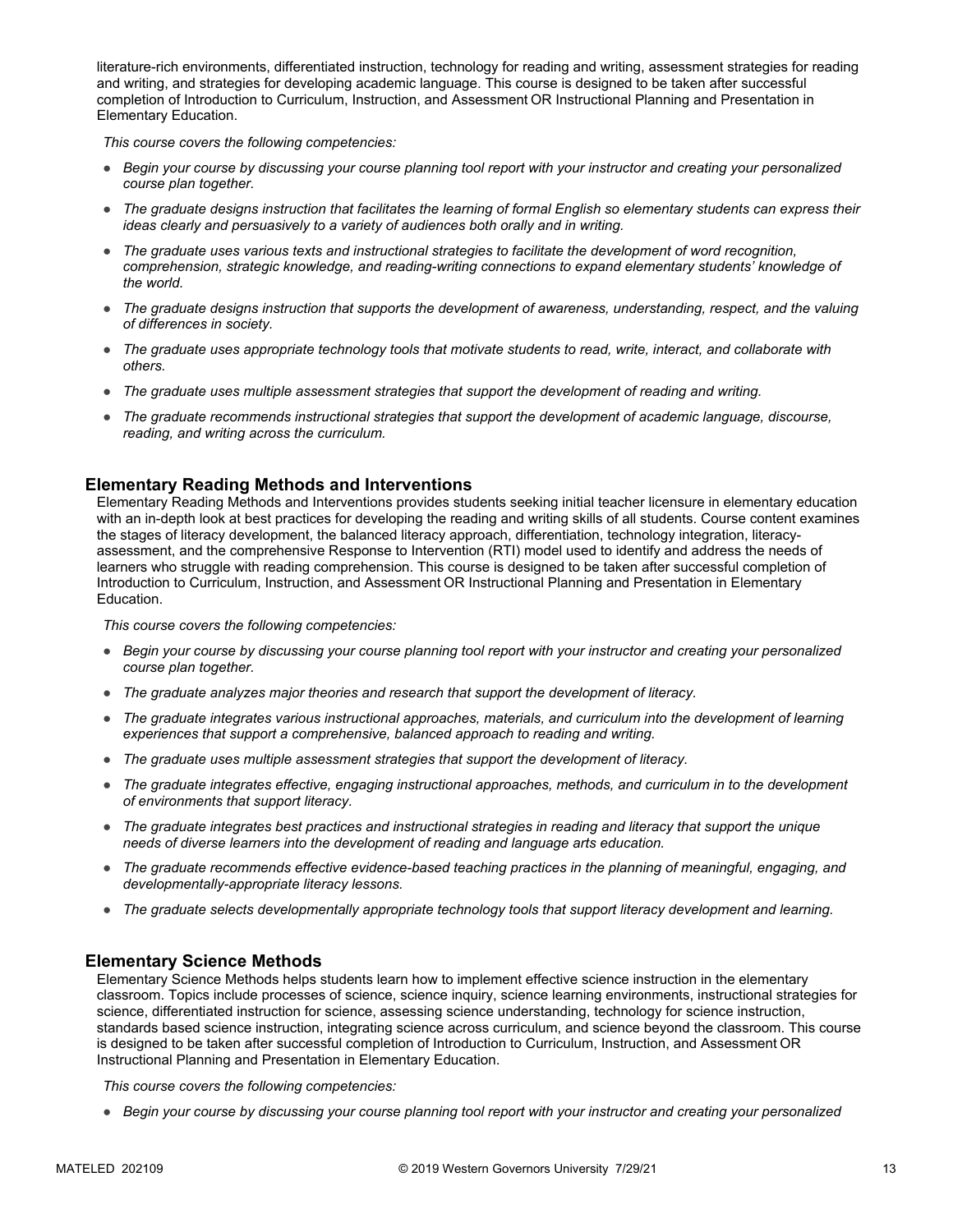literature-rich environments, differentiated instruction, technology for reading and writing, assessment strategies for reading and writing, and strategies for developing academic language. This course is designed to be taken after successful completion of Introduction to Curriculum, Instruction, and Assessment OR Instructional Planning and Presentation in Elementary Education.

*This course covers the following competencies:*

- *Begin your course by discussing your course planning tool report with your instructor and creating your personalized course plan together.*
- *The graduate designs instruction that facilitates the learning of formal English so elementary students can express their ideas clearly and persuasively to a variety of audiences both orally and in writing.*
- *The graduate uses various texts and instructional strategies to facilitate the development of word recognition, comprehension, strategic knowledge, and reading-writing connections to expand elementary students' knowledge of the world.*
- *The graduate designs instruction that supports the development of awareness, understanding, respect, and the valuing of differences in society.*
- *The graduate uses appropriate technology tools that motivate students to read, write, interact, and collaborate with others.*
- *The graduate uses multiple assessment strategies that support the development of reading and writing.*
- *The graduate recommends instructional strategies that support the development of academic language, discourse, reading, and writing across the curriculum.*

#### **Elementary Reading Methods and Interventions**

Elementary Reading Methods and Interventions provides students seeking initial teacher licensure in elementary education with an in-depth look at best practices for developing the reading and writing skills of all students. Course content examines the stages of literacy development, the balanced literacy approach, differentiation, technology integration, literacyassessment, and the comprehensive Response to Intervention (RTI) model used to identify and address the needs of learners who struggle with reading comprehension. This course is designed to be taken after successful completion of Introduction to Curriculum, Instruction, and Assessment OR Instructional Planning and Presentation in Elementary Education.

*This course covers the following competencies:*

- *Begin your course by discussing your course planning tool report with your instructor and creating your personalized course plan together.*
- *The graduate analyzes major theories and research that support the development of literacy.*
- *The graduate integrates various instructional approaches, materials, and curriculum into the development of learning experiences that support a comprehensive, balanced approach to reading and writing.*
- *The graduate uses multiple assessment strategies that support the development of literacy.*
- *The graduate integrates effective, engaging instructional approaches, methods, and curriculum in to the development of environments that support literacy.*
- *The graduate integrates best practices and instructional strategies in reading and literacy that support the unique needs of diverse learners into the development of reading and language arts education.*
- *The graduate recommends effective evidence-based teaching practices in the planning of meaningful, engaging, and developmentally-appropriate literacy lessons.*
- *The graduate selects developmentally appropriate technology tools that support literacy development and learning.*

#### **Elementary Science Methods**

Elementary Science Methods helps students learn how to implement effective science instruction in the elementary classroom. Topics include processes of science, science inquiry, science learning environments, instructional strategies for science, differentiated instruction for science, assessing science understanding, technology for science instruction, standards based science instruction, integrating science across curriculum, and science beyond the classroom. This course is designed to be taken after successful completion of Introduction to Curriculum, Instruction, and Assessment OR Instructional Planning and Presentation in Elementary Education.

*This course covers the following competencies:*

● *Begin your course by discussing your course planning tool report with your instructor and creating your personalized*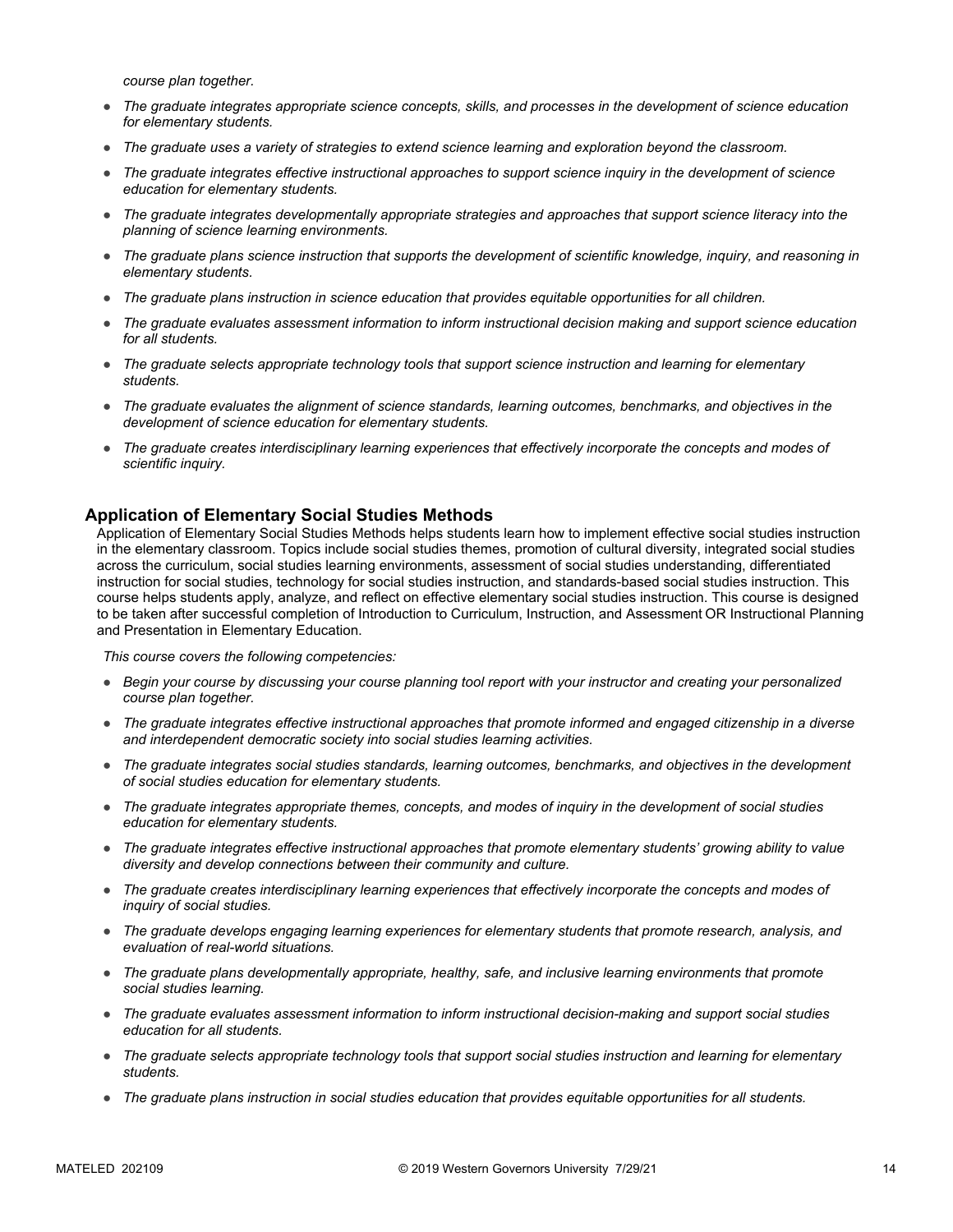*course plan together.*

- *The graduate integrates appropriate science concepts, skills, and processes in the development of science education for elementary students.*
- *The graduate uses a variety of strategies to extend science learning and exploration beyond the classroom.*
- *The graduate integrates effective instructional approaches to support science inquiry in the development of science education for elementary students.*
- *The graduate integrates developmentally appropriate strategies and approaches that support science literacy into the planning of science learning environments.*
- *The graduate plans science instruction that supports the development of scientific knowledge, inquiry, and reasoning in elementary students.*
- *The graduate plans instruction in science education that provides equitable opportunities for all children.*
- *The graduate evaluates assessment information to inform instructional decision making and support science education for all students.*
- *The graduate selects appropriate technology tools that support science instruction and learning for elementary students.*
- *The graduate evaluates the alignment of science standards, learning outcomes, benchmarks, and objectives in the development of science education for elementary students.*
- *The graduate creates interdisciplinary learning experiences that effectively incorporate the concepts and modes of scientific inquiry.*

#### **Application of Elementary Social Studies Methods**

Application of Elementary Social Studies Methods helps students learn how to implement effective social studies instruction in the elementary classroom. Topics include social studies themes, promotion of cultural diversity, integrated social studies across the curriculum, social studies learning environments, assessment of social studies understanding, differentiated instruction for social studies, technology for social studies instruction, and standards-based social studies instruction. This course helps students apply, analyze, and reflect on effective elementary social studies instruction. This course is designed to be taken after successful completion of Introduction to Curriculum, Instruction, and Assessment OR Instructional Planning and Presentation in Elementary Education.

- *Begin your course by discussing your course planning tool report with your instructor and creating your personalized course plan together.*
- *The graduate integrates effective instructional approaches that promote informed and engaged citizenship in a diverse and interdependent democratic society into social studies learning activities.*
- *The graduate integrates social studies standards, learning outcomes, benchmarks, and objectives in the development of social studies education for elementary students.*
- *The graduate integrates appropriate themes, concepts, and modes of inquiry in the development of social studies education for elementary students.*
- *The graduate integrates effective instructional approaches that promote elementary students' growing ability to value diversity and develop connections between their community and culture.*
- *The graduate creates interdisciplinary learning experiences that effectively incorporate the concepts and modes of inquiry of social studies.*
- *The graduate develops engaging learning experiences for elementary students that promote research, analysis, and evaluation of real-world situations.*
- *The graduate plans developmentally appropriate, healthy, safe, and inclusive learning environments that promote social studies learning.*
- *The graduate evaluates assessment information to inform instructional decision-making and support social studies education for all students.*
- *The graduate selects appropriate technology tools that support social studies instruction and learning for elementary students.*
- *The graduate plans instruction in social studies education that provides equitable opportunities for all students.*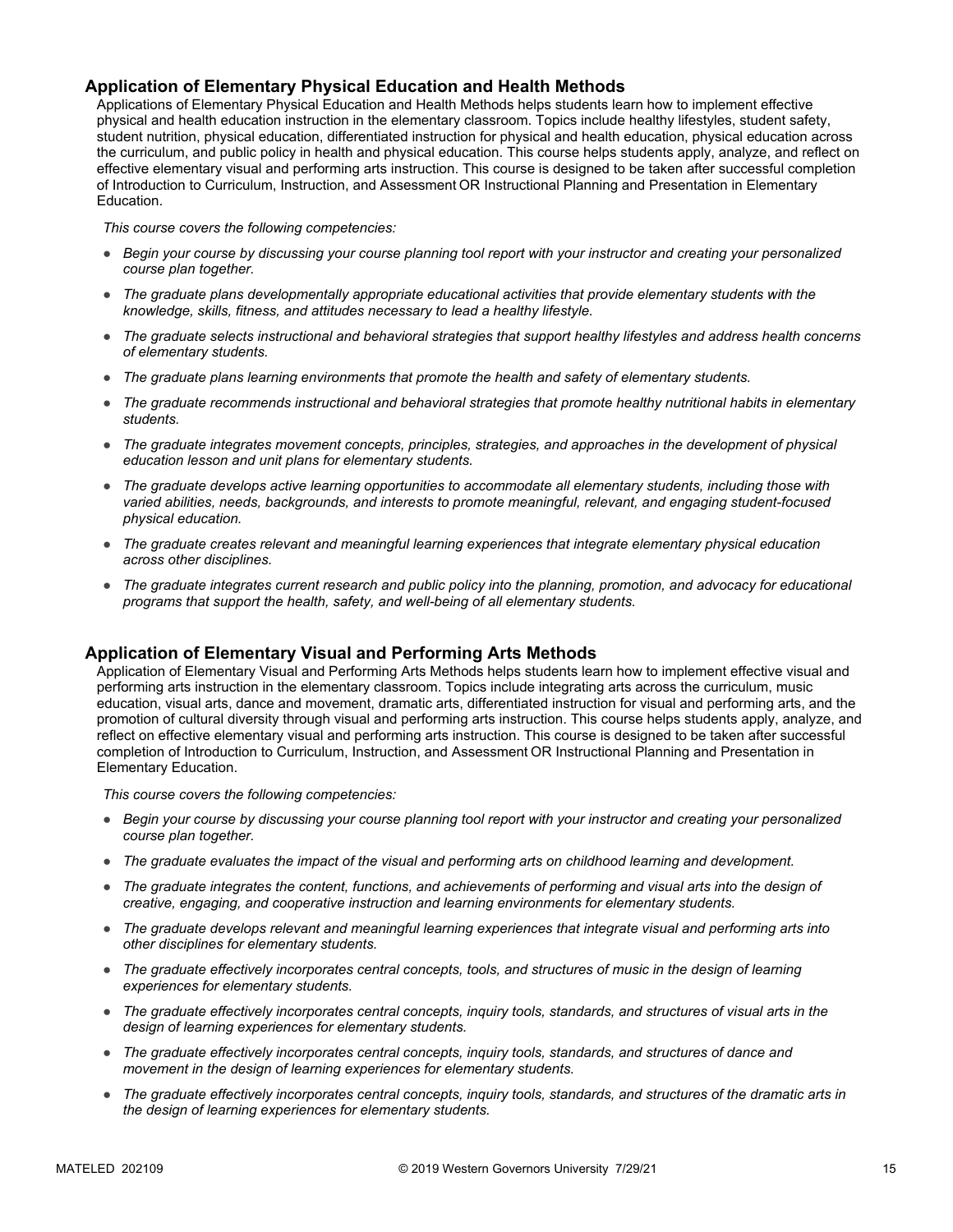#### **Application of Elementary Physical Education and Health Methods**

Applications of Elementary Physical Education and Health Methods helps students learn how to implement effective physical and health education instruction in the elementary classroom. Topics include healthy lifestyles, student safety, student nutrition, physical education, differentiated instruction for physical and health education, physical education across the curriculum, and public policy in health and physical education. This course helps students apply, analyze, and reflect on effective elementary visual and performing arts instruction. This course is designed to be taken after successful completion of Introduction to Curriculum, Instruction, and Assessment OR Instructional Planning and Presentation in Elementary Education.

*This course covers the following competencies:*

- *Begin your course by discussing your course planning tool report with your instructor and creating your personalized course plan together.*
- *The graduate plans developmentally appropriate educational activities that provide elementary students with the knowledge, skills, fitness, and attitudes necessary to lead a healthy lifestyle.*
- *The graduate selects instructional and behavioral strategies that support healthy lifestyles and address health concerns of elementary students.*
- *The graduate plans learning environments that promote the health and safety of elementary students.*
- *The graduate recommends instructional and behavioral strategies that promote healthy nutritional habits in elementary students.*
- *The graduate integrates movement concepts, principles, strategies, and approaches in the development of physical education lesson and unit plans for elementary students.*
- *The graduate develops active learning opportunities to accommodate all elementary students, including those with varied abilities, needs, backgrounds, and interests to promote meaningful, relevant, and engaging student-focused physical education.*
- *The graduate creates relevant and meaningful learning experiences that integrate elementary physical education across other disciplines.*
- *The graduate integrates current research and public policy into the planning, promotion, and advocacy for educational programs that support the health, safety, and well-being of all elementary students.*

#### **Application of Elementary Visual and Performing Arts Methods**

Application of Elementary Visual and Performing Arts Methods helps students learn how to implement effective visual and performing arts instruction in the elementary classroom. Topics include integrating arts across the curriculum, music education, visual arts, dance and movement, dramatic arts, differentiated instruction for visual and performing arts, and the promotion of cultural diversity through visual and performing arts instruction. This course helps students apply, analyze, and reflect on effective elementary visual and performing arts instruction. This course is designed to be taken after successful completion of Introduction to Curriculum, Instruction, and Assessment OR Instructional Planning and Presentation in Elementary Education.

- *Begin your course by discussing your course planning tool report with your instructor and creating your personalized course plan together.*
- *The graduate evaluates the impact of the visual and performing arts on childhood learning and development.*
- *The graduate integrates the content, functions, and achievements of performing and visual arts into the design of creative, engaging, and cooperative instruction and learning environments for elementary students.*
- *The graduate develops relevant and meaningful learning experiences that integrate visual and performing arts into other disciplines for elementary students.*
- *The graduate effectively incorporates central concepts, tools, and structures of music in the design of learning experiences for elementary students.*
- *The graduate effectively incorporates central concepts, inquiry tools, standards, and structures of visual arts in the design of learning experiences for elementary students.*
- *The graduate effectively incorporates central concepts, inquiry tools, standards, and structures of dance and movement in the design of learning experiences for elementary students.*
- *The graduate effectively incorporates central concepts, inquiry tools, standards, and structures of the dramatic arts in the design of learning experiences for elementary students.*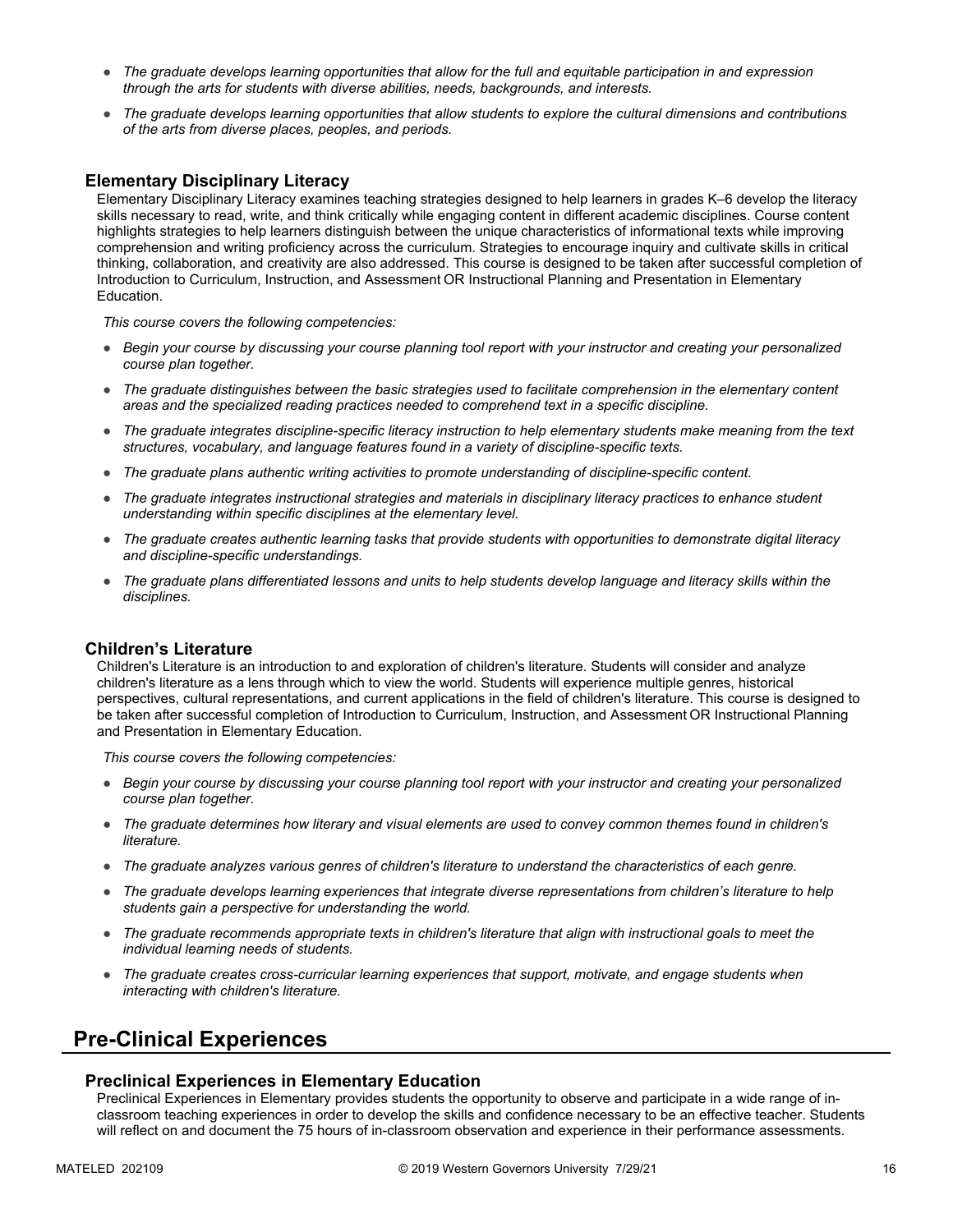- *The graduate develops learning opportunities that allow for the full and equitable participation in and expression through the arts for students with diverse abilities, needs, backgrounds, and interests.*
- *The graduate develops learning opportunities that allow students to explore the cultural dimensions and contributions of the arts from diverse places, peoples, and periods.*

#### **Elementary Disciplinary Literacy**

Elementary Disciplinary Literacy examines teaching strategies designed to help learners in grades K–6 develop the literacy skills necessary to read, write, and think critically while engaging content in different academic disciplines. Course content highlights strategies to help learners distinguish between the unique characteristics of informational texts while improving comprehension and writing proficiency across the curriculum. Strategies to encourage inquiry and cultivate skills in critical thinking, collaboration, and creativity are also addressed. This course is designed to be taken after successful completion of Introduction to Curriculum, Instruction, and Assessment OR Instructional Planning and Presentation in Elementary Education.

*This course covers the following competencies:*

- *Begin your course by discussing your course planning tool report with your instructor and creating your personalized course plan together.*
- *The graduate distinguishes between the basic strategies used to facilitate comprehension in the elementary content areas and the specialized reading practices needed to comprehend text in a specific discipline.*
- *The graduate integrates discipline-specific literacy instruction to help elementary students make meaning from the text structures, vocabulary, and language features found in a variety of discipline-specific texts.*
- *The graduate plans authentic writing activities to promote understanding of discipline-specific content.*
- *The graduate integrates instructional strategies and materials in disciplinary literacy practices to enhance student understanding within specific disciplines at the elementary level.*
- *The graduate creates authentic learning tasks that provide students with opportunities to demonstrate digital literacy and discipline-specific understandings.*
- *The graduate plans differentiated lessons and units to help students develop language and literacy skills within the disciplines.*

#### **Children's Literature**

Children's Literature is an introduction to and exploration of children's literature. Students will consider and analyze children's literature as a lens through which to view the world. Students will experience multiple genres, historical perspectives, cultural representations, and current applications in the field of children's literature. This course is designed to be taken after successful completion of Introduction to Curriculum, Instruction, and Assessment OR Instructional Planning and Presentation in Elementary Education.

*This course covers the following competencies:*

- *Begin your course by discussing your course planning tool report with your instructor and creating your personalized course plan together.*
- *The graduate determines how literary and visual elements are used to convey common themes found in children's literature.*
- *The graduate analyzes various genres of children's literature to understand the characteristics of each genre.*
- *The graduate develops learning experiences that integrate diverse representations from children's literature to help students gain a perspective for understanding the world.*
- *The graduate recommends appropriate texts in children's literature that align with instructional goals to meet the individual learning needs of students.*
- *The graduate creates cross-curricular learning experiences that support, motivate, and engage students when interacting with children's literature.*

# **Pre-Clinical Experiences**

#### **Preclinical Experiences in Elementary Education**

Preclinical Experiences in Elementary provides students the opportunity to observe and participate in a wide range of inclassroom teaching experiences in order to develop the skills and confidence necessary to be an effective teacher. Students will reflect on and document the 75 hours of in-classroom observation and experience in their performance assessments.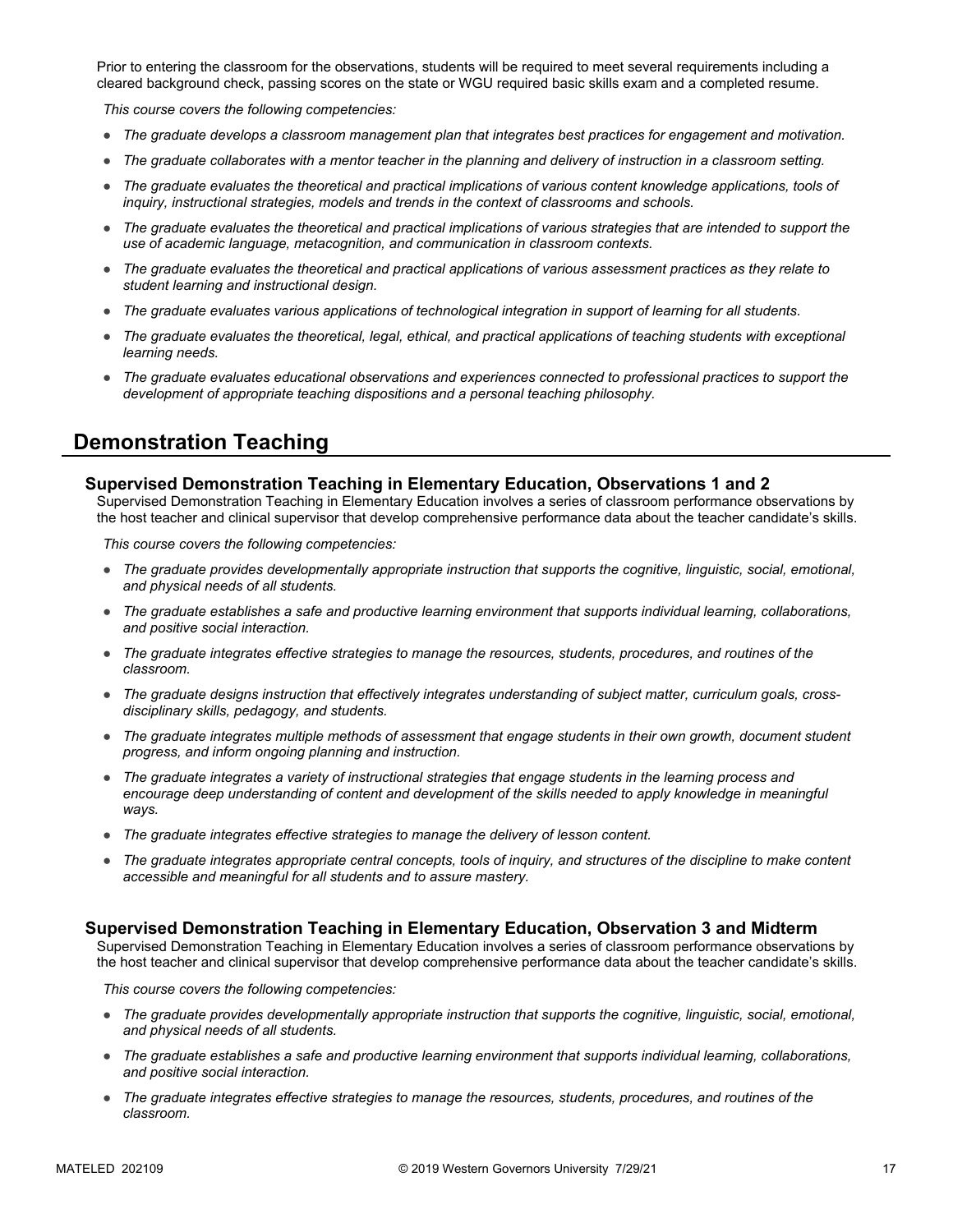Prior to entering the classroom for the observations, students will be required to meet several requirements including a cleared background check, passing scores on the state or WGU required basic skills exam and a completed resume.

*This course covers the following competencies:*

- *The graduate develops a classroom management plan that integrates best practices for engagement and motivation.*
- *The graduate collaborates with a mentor teacher in the planning and delivery of instruction in a classroom setting.*
- *The graduate evaluates the theoretical and practical implications of various content knowledge applications, tools of inquiry, instructional strategies, models and trends in the context of classrooms and schools.*
- *The graduate evaluates the theoretical and practical implications of various strategies that are intended to support the use of academic language, metacognition, and communication in classroom contexts.*
- *The graduate evaluates the theoretical and practical applications of various assessment practices as they relate to student learning and instructional design.*
- *The graduate evaluates various applications of technological integration in support of learning for all students.*
- *The graduate evaluates the theoretical, legal, ethical, and practical applications of teaching students with exceptional learning needs.*
- *The graduate evaluates educational observations and experiences connected to professional practices to support the development of appropriate teaching dispositions and a personal teaching philosophy.*

### **Demonstration Teaching**

#### **Supervised Demonstration Teaching in Elementary Education, Observations 1 and 2**

Supervised Demonstration Teaching in Elementary Education involves a series of classroom performance observations by the host teacher and clinical supervisor that develop comprehensive performance data about the teacher candidate's skills.

*This course covers the following competencies:*

- *The graduate provides developmentally appropriate instruction that supports the cognitive, linguistic, social, emotional, and physical needs of all students.*
- *The graduate establishes a safe and productive learning environment that supports individual learning, collaborations, and positive social interaction.*
- *The graduate integrates effective strategies to manage the resources, students, procedures, and routines of the classroom.*
- *The graduate designs instruction that effectively integrates understanding of subject matter, curriculum goals, crossdisciplinary skills, pedagogy, and students.*
- *The graduate integrates multiple methods of assessment that engage students in their own growth, document student progress, and inform ongoing planning and instruction.*
- *The graduate integrates a variety of instructional strategies that engage students in the learning process and encourage deep understanding of content and development of the skills needed to apply knowledge in meaningful ways.*
- *The graduate integrates effective strategies to manage the delivery of lesson content.*
- *The graduate integrates appropriate central concepts, tools of inquiry, and structures of the discipline to make content accessible and meaningful for all students and to assure mastery.*

#### **Supervised Demonstration Teaching in Elementary Education, Observation 3 and Midterm**

Supervised Demonstration Teaching in Elementary Education involves a series of classroom performance observations by the host teacher and clinical supervisor that develop comprehensive performance data about the teacher candidate's skills.

- *The graduate provides developmentally appropriate instruction that supports the cognitive, linguistic, social, emotional, and physical needs of all students.*
- *The graduate establishes a safe and productive learning environment that supports individual learning, collaborations, and positive social interaction.*
- *The graduate integrates effective strategies to manage the resources, students, procedures, and routines of the classroom.*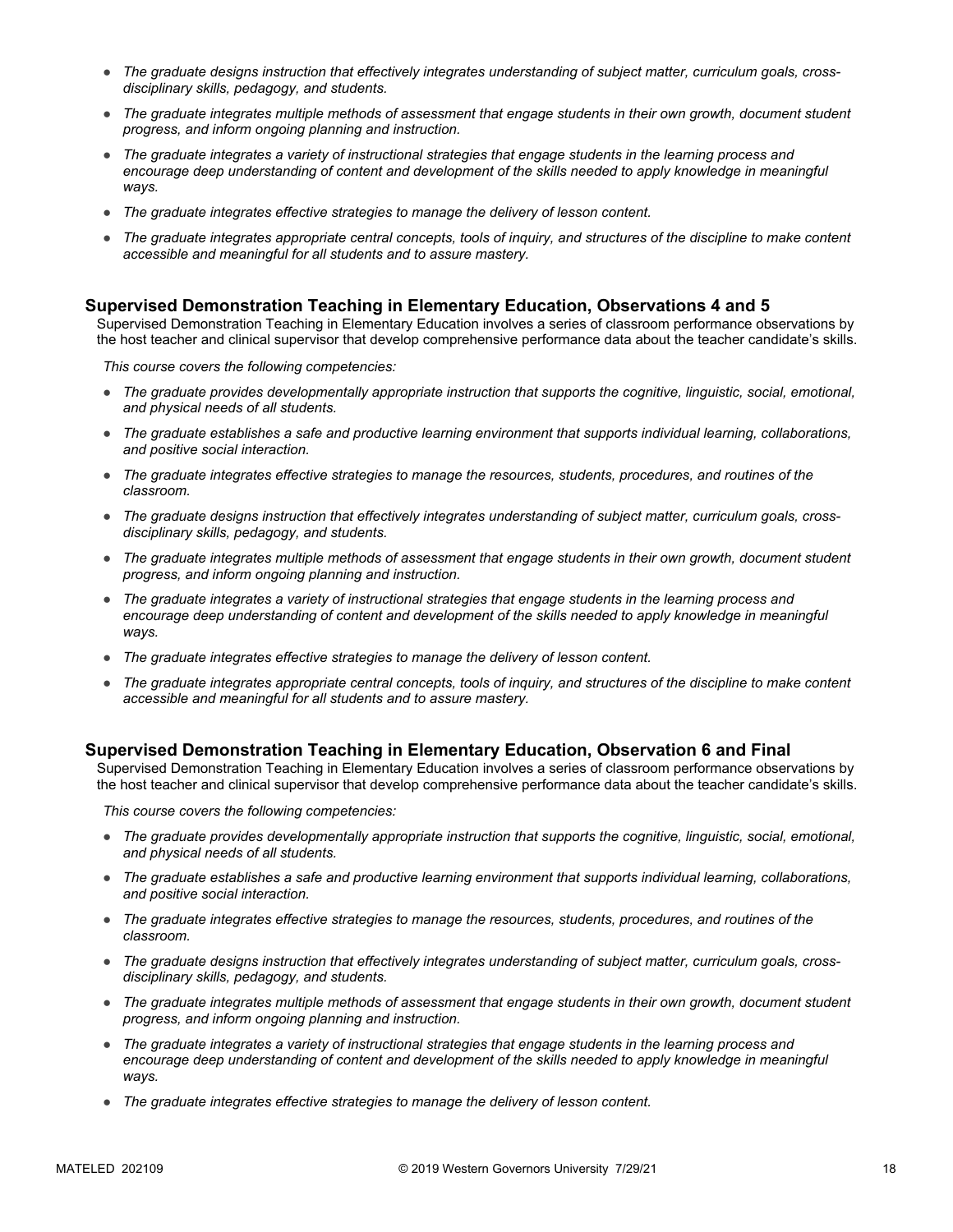- The graduate designs instruction that effectively integrates understanding of subject matter, curriculum goals, cross*disciplinary skills, pedagogy, and students.*
- *The graduate integrates multiple methods of assessment that engage students in their own growth, document student progress, and inform ongoing planning and instruction.*
- *The graduate integrates a variety of instructional strategies that engage students in the learning process and*  encourage deep understanding of content and development of the skills needed to apply knowledge in meaningful *ways.*
- *The graduate integrates effective strategies to manage the delivery of lesson content.*
- *The graduate integrates appropriate central concepts, tools of inquiry, and structures of the discipline to make content accessible and meaningful for all students and to assure mastery.*

#### **Supervised Demonstration Teaching in Elementary Education, Observations 4 and 5**

Supervised Demonstration Teaching in Elementary Education involves a series of classroom performance observations by the host teacher and clinical supervisor that develop comprehensive performance data about the teacher candidate's skills.

*This course covers the following competencies:*

- *The graduate provides developmentally appropriate instruction that supports the cognitive, linguistic, social, emotional, and physical needs of all students.*
- *The graduate establishes a safe and productive learning environment that supports individual learning, collaborations, and positive social interaction.*
- *The graduate integrates effective strategies to manage the resources, students, procedures, and routines of the classroom.*
- *The graduate designs instruction that effectively integrates understanding of subject matter, curriculum goals, crossdisciplinary skills, pedagogy, and students.*
- *The graduate integrates multiple methods of assessment that engage students in their own growth, document student progress, and inform ongoing planning and instruction.*
- *The graduate integrates a variety of instructional strategies that engage students in the learning process and*  encourage deep understanding of content and development of the skills needed to apply knowledge in meaningful *ways.*
- *The graduate integrates effective strategies to manage the delivery of lesson content.*
- *The graduate integrates appropriate central concepts, tools of inquiry, and structures of the discipline to make content accessible and meaningful for all students and to assure mastery.*

#### **Supervised Demonstration Teaching in Elementary Education, Observation 6 and Final**

Supervised Demonstration Teaching in Elementary Education involves a series of classroom performance observations by the host teacher and clinical supervisor that develop comprehensive performance data about the teacher candidate's skills.

- *The graduate provides developmentally appropriate instruction that supports the cognitive, linguistic, social, emotional, and physical needs of all students.*
- *The graduate establishes a safe and productive learning environment that supports individual learning, collaborations, and positive social interaction.*
- *The graduate integrates effective strategies to manage the resources, students, procedures, and routines of the classroom.*
- *The graduate designs instruction that effectively integrates understanding of subject matter, curriculum goals, crossdisciplinary skills, pedagogy, and students.*
- *The graduate integrates multiple methods of assessment that engage students in their own growth, document student progress, and inform ongoing planning and instruction.*
- *The graduate integrates a variety of instructional strategies that engage students in the learning process and*  encourage deep understanding of content and development of the skills needed to apply knowledge in meaningful *ways.*
- *The graduate integrates effective strategies to manage the delivery of lesson content.*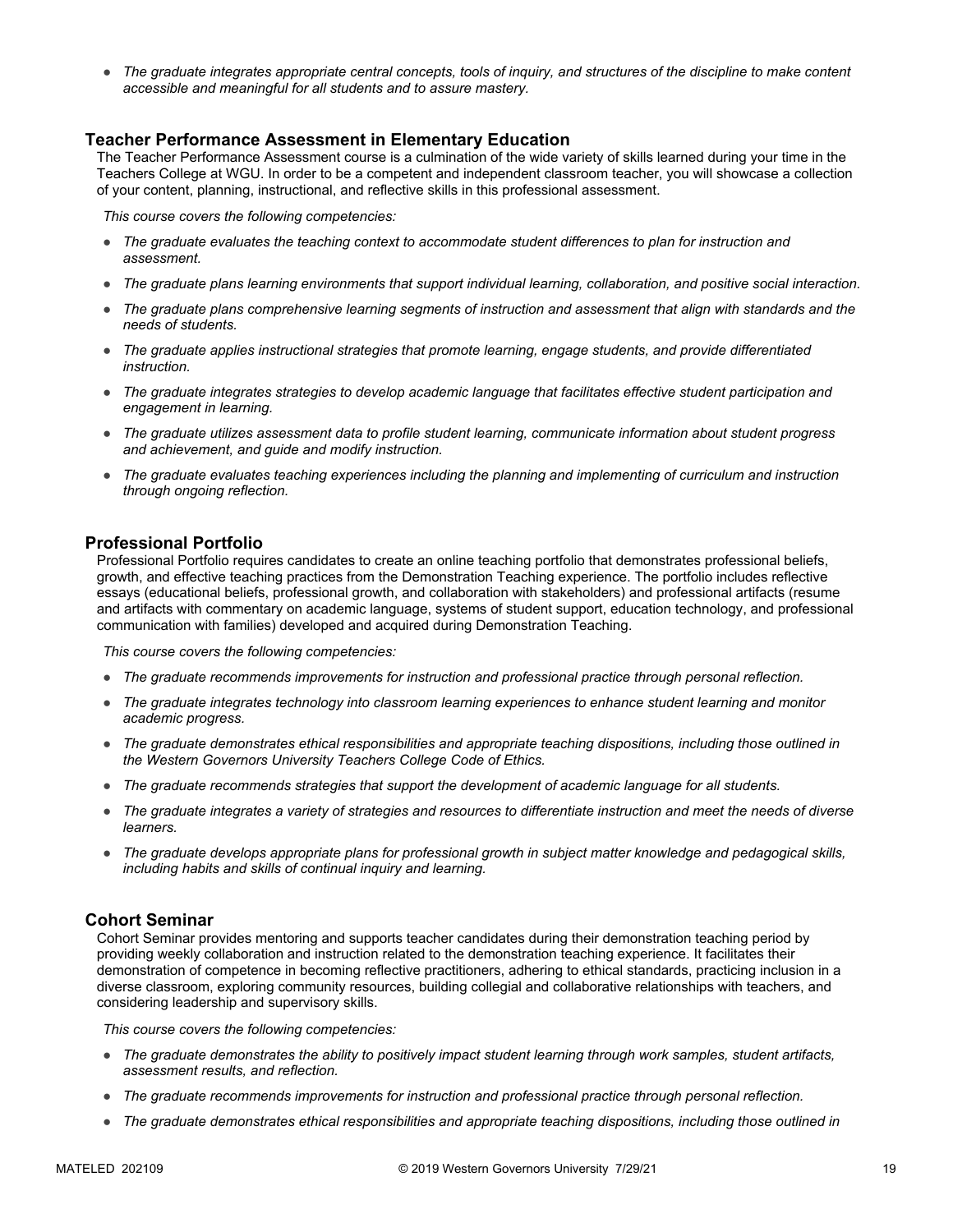● *The graduate integrates appropriate central concepts, tools of inquiry, and structures of the discipline to make content accessible and meaningful for all students and to assure mastery.*

#### **Teacher Performance Assessment in Elementary Education**

The Teacher Performance Assessment course is a culmination of the wide variety of skills learned during your time in the Teachers College at WGU. In order to be a competent and independent classroom teacher, you will showcase a collection of your content, planning, instructional, and reflective skills in this professional assessment.

*This course covers the following competencies:*

- *The graduate evaluates the teaching context to accommodate student differences to plan for instruction and assessment.*
- *The graduate plans learning environments that support individual learning, collaboration, and positive social interaction.*
- *The graduate plans comprehensive learning segments of instruction and assessment that align with standards and the needs of students.*
- *The graduate applies instructional strategies that promote learning, engage students, and provide differentiated instruction.*
- *The graduate integrates strategies to develop academic language that facilitates effective student participation and engagement in learning.*
- *The graduate utilizes assessment data to profile student learning, communicate information about student progress and achievement, and guide and modify instruction.*
- *The graduate evaluates teaching experiences including the planning and implementing of curriculum and instruction through ongoing reflection.*

#### **Professional Portfolio**

Professional Portfolio requires candidates to create an online teaching portfolio that demonstrates professional beliefs, growth, and effective teaching practices from the Demonstration Teaching experience. The portfolio includes reflective essays (educational beliefs, professional growth, and collaboration with stakeholders) and professional artifacts (resume and artifacts with commentary on academic language, systems of student support, education technology, and professional communication with families) developed and acquired during Demonstration Teaching.

*This course covers the following competencies:*

- *The graduate recommends improvements for instruction and professional practice through personal reflection.*
- *The graduate integrates technology into classroom learning experiences to enhance student learning and monitor academic progress.*
- *The graduate demonstrates ethical responsibilities and appropriate teaching dispositions, including those outlined in the Western Governors University Teachers College Code of Ethics.*
- *The graduate recommends strategies that support the development of academic language for all students.*
- *The graduate integrates a variety of strategies and resources to differentiate instruction and meet the needs of diverse learners.*
- *The graduate develops appropriate plans for professional growth in subject matter knowledge and pedagogical skills, including habits and skills of continual inquiry and learning.*

#### **Cohort Seminar**

Cohort Seminar provides mentoring and supports teacher candidates during their demonstration teaching period by providing weekly collaboration and instruction related to the demonstration teaching experience. It facilitates their demonstration of competence in becoming reflective practitioners, adhering to ethical standards, practicing inclusion in a diverse classroom, exploring community resources, building collegial and collaborative relationships with teachers, and considering leadership and supervisory skills.

- *The graduate demonstrates the ability to positively impact student learning through work samples, student artifacts, assessment results, and reflection.*
- *The graduate recommends improvements for instruction and professional practice through personal reflection.*
- *The graduate demonstrates ethical responsibilities and appropriate teaching dispositions, including those outlined in*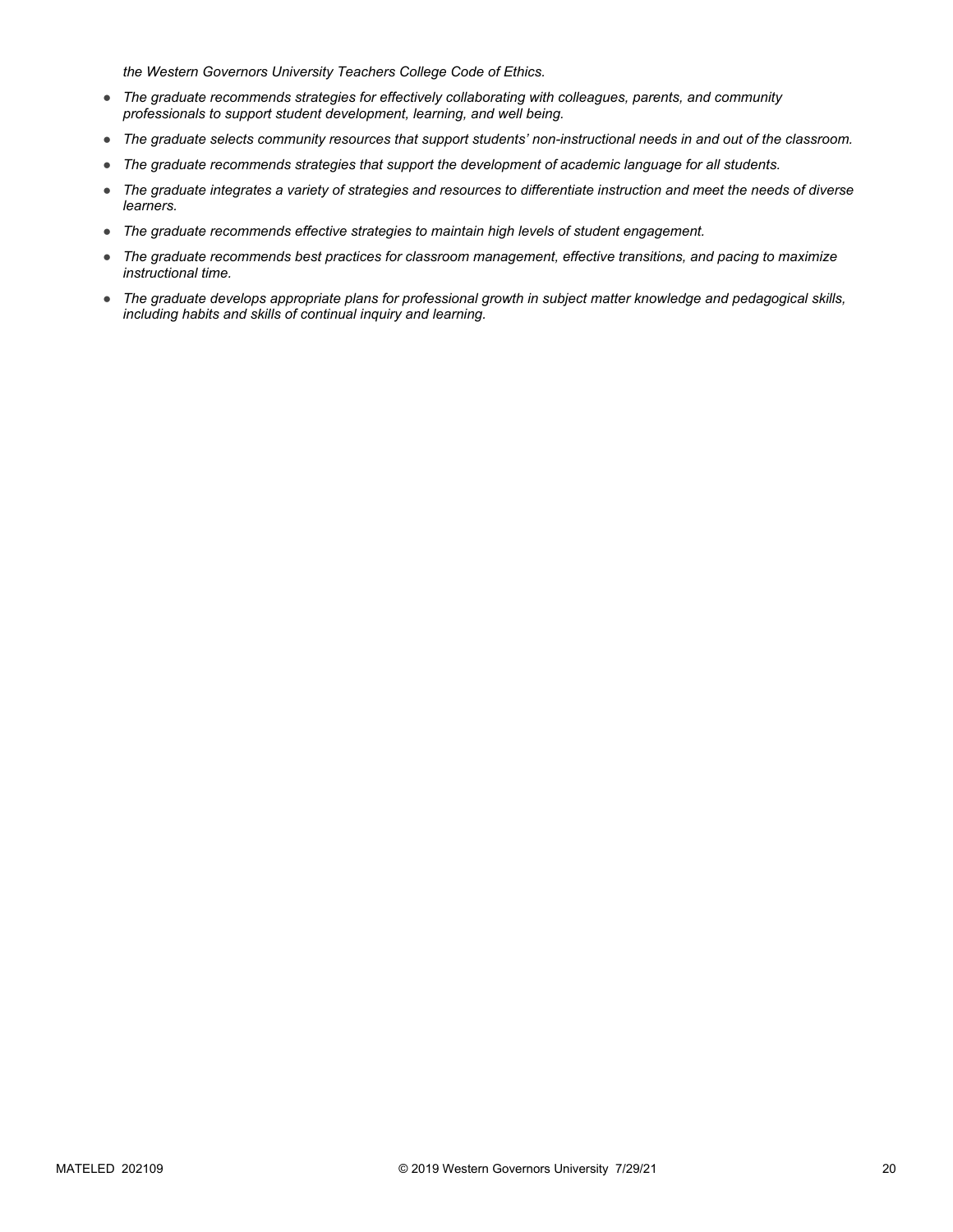*the Western Governors University Teachers College Code of Ethics.*

- *The graduate recommends strategies for effectively collaborating with colleagues, parents, and community professionals to support student development, learning, and well being.*
- *The graduate selects community resources that support students' non-instructional needs in and out of the classroom.*
- *The graduate recommends strategies that support the development of academic language for all students.*
- *The graduate integrates a variety of strategies and resources to differentiate instruction and meet the needs of diverse learners.*
- *The graduate recommends effective strategies to maintain high levels of student engagement.*
- *The graduate recommends best practices for classroom management, effective transitions, and pacing to maximize instructional time.*
- *The graduate develops appropriate plans for professional growth in subject matter knowledge and pedagogical skills, including habits and skills of continual inquiry and learning.*